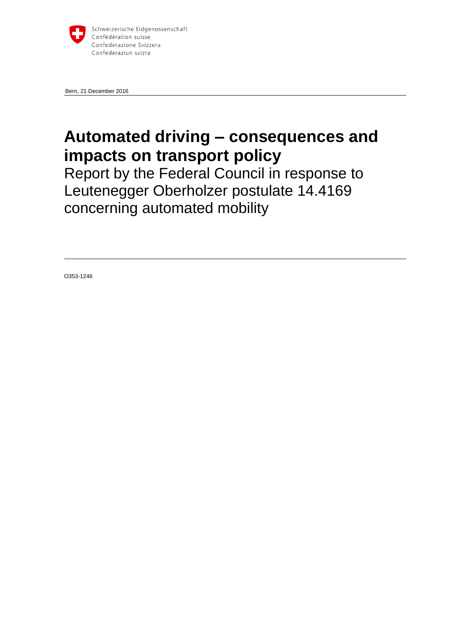

Bern, 21 December 2016

# **Automated driving – consequences and impacts on transport policy**

Report by the Federal Council in response to Leutenegger Oberholzer postulate 14.4169 concerning automated mobility

O353-1246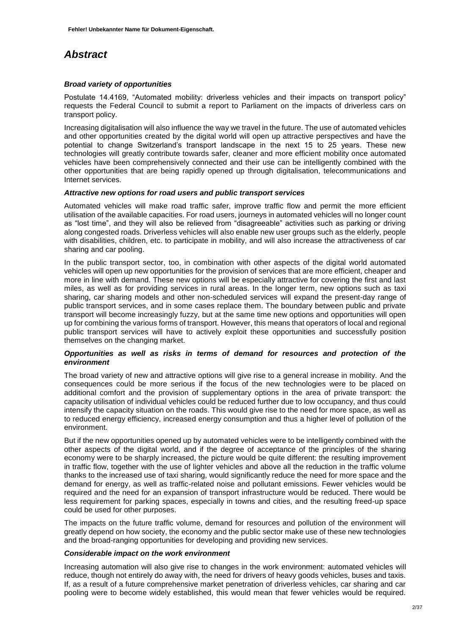## <span id="page-1-0"></span>*Abstract*

### *Broad variety of opportunities*

Postulate 14.4169, "Automated mobility: driverless vehicles and their impacts on transport policy" requests the Federal Council to submit a report to Parliament on the impacts of driverless cars on transport policy.

Increasing digitalisation will also influence the way we travel in the future. The use of automated vehicles and other opportunities created by the digital world will open up attractive perspectives and have the potential to change Switzerland's transport landscape in the next 15 to 25 years. These new technologies will greatly contribute towards safer, cleaner and more efficient mobility once automated vehicles have been comprehensively connected and their use can be intelligently combined with the other opportunities that are being rapidly opened up through digitalisation, telecommunications and Internet services.

#### *Attractive new options for road users and public transport services*

Automated vehicles will make road traffic safer, improve traffic flow and permit the more efficient utilisation of the available capacities. For road users, journeys in automated vehicles will no longer count as "lost time", and they will also be relieved from "disagreeable" activities such as parking or driving along congested roads. Driverless vehicles will also enable new user groups such as the elderly, people with disabilities, children, etc. to participate in mobility, and will also increase the attractiveness of car sharing and car pooling.

In the public transport sector, too, in combination with other aspects of the digital world automated vehicles will open up new opportunities for the provision of services that are more efficient, cheaper and more in line with demand. These new options will be especially attractive for covering the first and last miles, as well as for providing services in rural areas. In the longer term, new options such as taxi sharing, car sharing models and other non-scheduled services will expand the present-day range of public transport services, and in some cases replace them. The boundary between public and private transport will become increasingly fuzzy, but at the same time new options and opportunities will open up for combining the various forms of transport. However, this means that operators of local and regional public transport services will have to actively exploit these opportunities and successfully position themselves on the changing market.

#### *Opportunities as well as risks in terms of demand for resources and protection of the environment*

The broad variety of new and attractive options will give rise to a general increase in mobility. And the consequences could be more serious if the focus of the new technologies were to be placed on additional comfort and the provision of supplementary options in the area of private transport: the capacity utilisation of individual vehicles could be reduced further due to low occupancy, and thus could intensify the capacity situation on the roads. This would give rise to the need for more space, as well as to reduced energy efficiency, increased energy consumption and thus a higher level of pollution of the environment.

But if the new opportunities opened up by automated vehicles were to be intelligently combined with the other aspects of the digital world, and if the degree of acceptance of the principles of the sharing economy were to be sharply increased, the picture would be quite different: the resulting improvement in traffic flow, together with the use of lighter vehicles and above all the reduction in the traffic volume thanks to the increased use of taxi sharing, would significantly reduce the need for more space and the demand for energy, as well as traffic-related noise and pollutant emissions. Fewer vehicles would be required and the need for an expansion of transport infrastructure would be reduced. There would be less requirement for parking spaces, especially in towns and cities, and the resulting freed-up space could be used for other purposes.

The impacts on the future traffic volume, demand for resources and pollution of the environment will greatly depend on how society, the economy and the public sector make use of these new technologies and the broad-ranging opportunities for developing and providing new services.

#### *Considerable impact on the work environment*

Increasing automation will also give rise to changes in the work environment: automated vehicles will reduce, though not entirely do away with, the need for drivers of heavy goods vehicles, buses and taxis. If, as a result of a future comprehensive market penetration of driverless vehicles, car sharing and car pooling were to become widely established, this would mean that fewer vehicles would be required.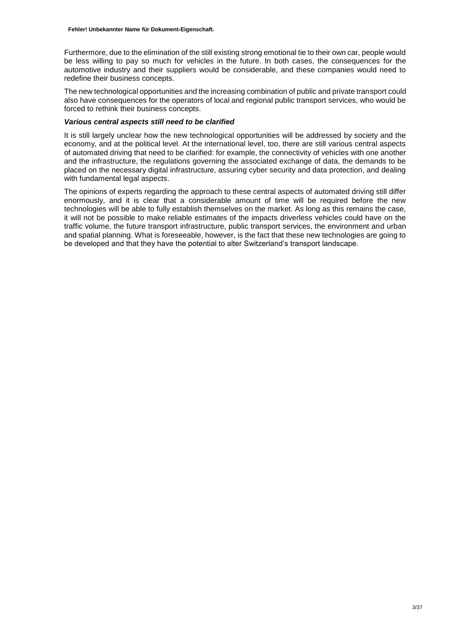Furthermore, due to the elimination of the still existing strong emotional tie to their own car, people would be less willing to pay so much for vehicles in the future. In both cases, the consequences for the automotive industry and their suppliers would be considerable, and these companies would need to redefine their business concepts.

The new technological opportunities and the increasing combination of public and private transport could also have consequences for the operators of local and regional public transport services, who would be forced to rethink their business concepts.

#### *Various central aspects still need to be clarified*

It is still largely unclear how the new technological opportunities will be addressed by society and the economy, and at the political level. At the international level, too, there are still various central aspects of automated driving that need to be clarified: for example, the connectivity of vehicles with one another and the infrastructure, the regulations governing the associated exchange of data, the demands to be placed on the necessary digital infrastructure, assuring cyber security and data protection, and dealing with fundamental legal aspects.

The opinions of experts regarding the approach to these central aspects of automated driving still differ enormously, and it is clear that a considerable amount of time will be required before the new technologies will be able to fully establish themselves on the market. As long as this remains the case, it will not be possible to make reliable estimates of the impacts driverless vehicles could have on the traffic volume, the future transport infrastructure, public transport services, the environment and urban and spatial planning. What is foreseeable, however, is the fact that these new technologies are going to be developed and that they have the potential to alter Switzerland's transport landscape.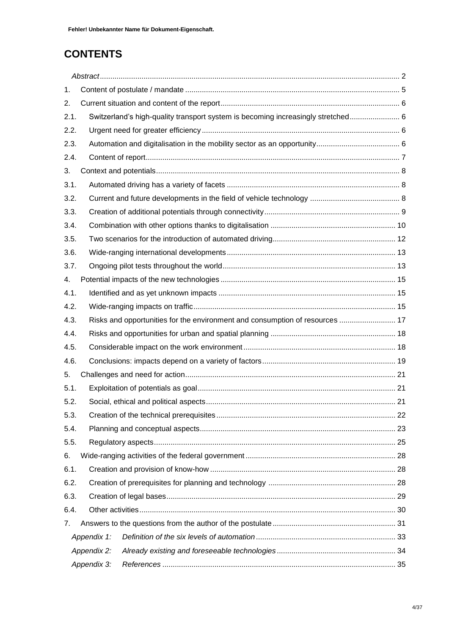## **CONTENTS**

| 1.          |                                                                              |                                                                                  |  |
|-------------|------------------------------------------------------------------------------|----------------------------------------------------------------------------------|--|
| 2.          |                                                                              |                                                                                  |  |
| 2.1.        |                                                                              | Switzerland's high-quality transport system is becoming increasingly stretched 6 |  |
| 2.2.        |                                                                              |                                                                                  |  |
| 2.3.        |                                                                              |                                                                                  |  |
| 2.4.        |                                                                              |                                                                                  |  |
| 3.          |                                                                              |                                                                                  |  |
| 3.1.        |                                                                              |                                                                                  |  |
| 3.2.        |                                                                              |                                                                                  |  |
| 3.3.        |                                                                              |                                                                                  |  |
| 3.4.        |                                                                              |                                                                                  |  |
| 3.5.        |                                                                              |                                                                                  |  |
| 3.6.        |                                                                              |                                                                                  |  |
| 3.7.        |                                                                              |                                                                                  |  |
| 4.          |                                                                              |                                                                                  |  |
| 4.1.        |                                                                              |                                                                                  |  |
| 4.2.        |                                                                              |                                                                                  |  |
| 4.3.        | Risks and opportunities for the environment and consumption of resources  17 |                                                                                  |  |
| 4.4.        |                                                                              |                                                                                  |  |
| 4.5.        |                                                                              |                                                                                  |  |
| 4.6.        |                                                                              |                                                                                  |  |
| 5.          |                                                                              |                                                                                  |  |
| 5.1.        |                                                                              |                                                                                  |  |
| 5.2.        |                                                                              |                                                                                  |  |
| 5.3.        |                                                                              |                                                                                  |  |
| 5.4.        |                                                                              |                                                                                  |  |
| 5.5.        |                                                                              |                                                                                  |  |
| 6.          |                                                                              |                                                                                  |  |
| 6.1.        |                                                                              |                                                                                  |  |
| 6.2.        |                                                                              |                                                                                  |  |
| 6.3.        |                                                                              |                                                                                  |  |
| 6.4.        |                                                                              |                                                                                  |  |
| 7.          |                                                                              |                                                                                  |  |
| Appendix 1: |                                                                              |                                                                                  |  |
|             | Appendix 2:                                                                  |                                                                                  |  |
|             | Appendix 3:                                                                  |                                                                                  |  |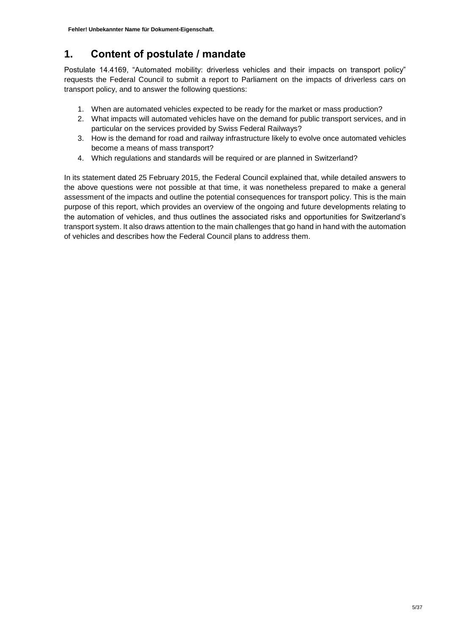## <span id="page-4-0"></span>**1. Content of postulate / mandate**

Postulate 14.4169, "Automated mobility: driverless vehicles and their impacts on transport policy" requests the Federal Council to submit a report to Parliament on the impacts of driverless cars on transport policy, and to answer the following questions:

- 1. When are automated vehicles expected to be ready for the market or mass production?
- 2. What impacts will automated vehicles have on the demand for public transport services, and in particular on the services provided by Swiss Federal Railways?
- 3. How is the demand for road and railway infrastructure likely to evolve once automated vehicles become a means of mass transport?
- 4. Which regulations and standards will be required or are planned in Switzerland?

In its statement dated 25 February 2015, the Federal Council explained that, while detailed answers to the above questions were not possible at that time, it was nonetheless prepared to make a general assessment of the impacts and outline the potential consequences for transport policy. This is the main purpose of this report, which provides an overview of the ongoing and future developments relating to the automation of vehicles, and thus outlines the associated risks and opportunities for Switzerland's transport system. It also draws attention to the main challenges that go hand in hand with the automation of vehicles and describes how the Federal Council plans to address them.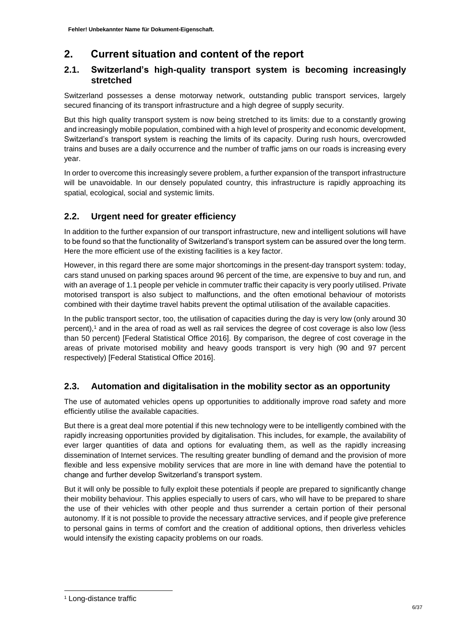## <span id="page-5-0"></span>**2. Current situation and content of the report**

### <span id="page-5-1"></span>**2.1. Switzerland's high-quality transport system is becoming increasingly stretched**

Switzerland possesses a dense motorway network, outstanding public transport services, largely secured financing of its transport infrastructure and a high degree of supply security.

But this high quality transport system is now being stretched to its limits: due to a constantly growing and increasingly mobile population, combined with a high level of prosperity and economic development, Switzerland's transport system is reaching the limits of its capacity. During rush hours, overcrowded trains and buses are a daily occurrence and the number of traffic jams on our roads is increasing every year.

In order to overcome this increasingly severe problem, a further expansion of the transport infrastructure will be unavoidable. In our densely populated country, this infrastructure is rapidly approaching its spatial, ecological, social and systemic limits.

### <span id="page-5-2"></span>**2.2. Urgent need for greater efficiency**

In addition to the further expansion of our transport infrastructure, new and intelligent solutions will have to be found so that the functionality of Switzerland's transport system can be assured over the long term. Here the more efficient use of the existing facilities is a key factor.

However, in this regard there are some major shortcomings in the present-day transport system: today, cars stand unused on parking spaces around 96 percent of the time, are expensive to buy and run, and with an average of 1.1 people per vehicle in commuter traffic their capacity is very poorly utilised. Private motorised transport is also subject to malfunctions, and the often emotional behaviour of motorists combined with their daytime travel habits prevent the optimal utilisation of the available capacities.

In the public transport sector, too, the utilisation of capacities during the day is very low (only around 30 percent),<sup>1</sup> and in the area of road as well as rail services the degree of cost coverage is also low (less than 50 percent) [Federal Statistical Office 2016]. By comparison, the degree of cost coverage in the areas of private motorised mobility and heavy goods transport is very high (90 and 97 percent respectively) [Federal Statistical Office 2016].

### <span id="page-5-3"></span>**2.3. Automation and digitalisation in the mobility sector as an opportunity**

The use of automated vehicles opens up opportunities to additionally improve road safety and more efficiently utilise the available capacities.

But there is a great deal more potential if this new technology were to be intelligently combined with the rapidly increasing opportunities provided by digitalisation. This includes, for example, the availability of ever larger quantities of data and options for evaluating them, as well as the rapidly increasing dissemination of Internet services. The resulting greater bundling of demand and the provision of more flexible and less expensive mobility services that are more in line with demand have the potential to change and further develop Switzerland's transport system.

But it will only be possible to fully exploit these potentials if people are prepared to significantly change their mobility behaviour. This applies especially to users of cars, who will have to be prepared to share the use of their vehicles with other people and thus surrender a certain portion of their personal autonomy. If it is not possible to provide the necessary attractive services, and if people give preference to personal gains in terms of comfort and the creation of additional options, then driverless vehicles would intensify the existing capacity problems on our roads.

1

<sup>1</sup> Long-distance traffic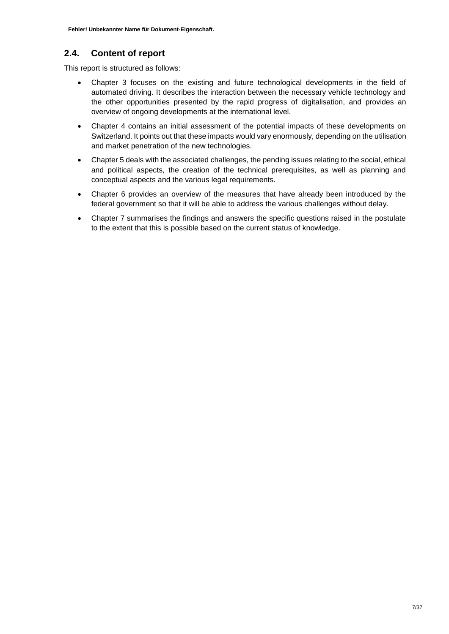### <span id="page-6-0"></span>**2.4. Content of report**

This report is structured as follows:

- Chapter 3 focuses on the existing and future technological developments in the field of automated driving. It describes the interaction between the necessary vehicle technology and the other opportunities presented by the rapid progress of digitalisation, and provides an overview of ongoing developments at the international level.
- Chapter 4 contains an initial assessment of the potential impacts of these developments on Switzerland. It points out that these impacts would vary enormously, depending on the utilisation and market penetration of the new technologies.
- Chapter 5 deals with the associated challenges, the pending issues relating to the social, ethical and political aspects, the creation of the technical prerequisites, as well as planning and conceptual aspects and the various legal requirements.
- Chapter 6 provides an overview of the measures that have already been introduced by the federal government so that it will be able to address the various challenges without delay.
- Chapter 7 summarises the findings and answers the specific questions raised in the postulate to the extent that this is possible based on the current status of knowledge.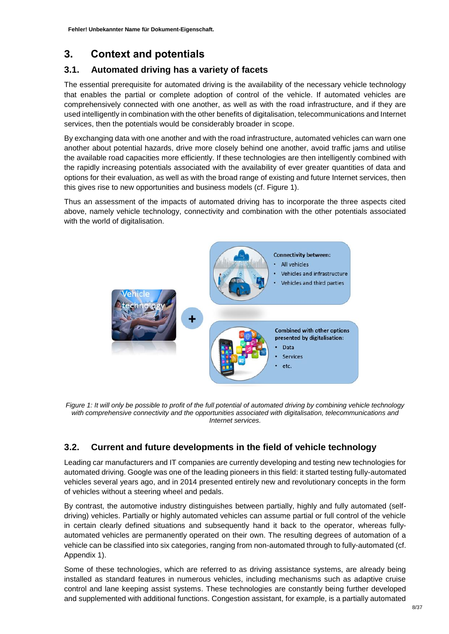## <span id="page-7-0"></span>**3. Context and potentials**

### <span id="page-7-1"></span>**3.1. Automated driving has a variety of facets**

The essential prerequisite for automated driving is the availability of the necessary vehicle technology that enables the partial or complete adoption of control of the vehicle. If automated vehicles are comprehensively connected with one another, as well as with the road infrastructure, and if they are used intelligently in combination with the other benefits of digitalisation, telecommunications and Internet services, then the potentials would be considerably broader in scope.

By exchanging data with one another and with the road infrastructure, automated vehicles can warn one another about potential hazards, drive more closely behind one another, avoid traffic jams and utilise the available road capacities more efficiently. If these technologies are then intelligently combined with the rapidly increasing potentials associated with the availability of ever greater quantities of data and options for their evaluation, as well as with the broad range of existing and future Internet services, then this gives rise to new opportunities and business models (cf. Figure 1).

Thus an assessment of the impacts of automated driving has to incorporate the three aspects cited above, namely vehicle technology, connectivity and combination with the other potentials associated with the world of digitalisation.



*Figure 1: It will only be possible to profit of the full potential of automated driving by combining vehicle technology with comprehensive connectivity and the opportunities associated with digitalisation, telecommunications and Internet services.* 

### <span id="page-7-2"></span>**3.2. Current and future developments in the field of vehicle technology**

Leading car manufacturers and IT companies are currently developing and testing new technologies for automated driving. Google was one of the leading pioneers in this field: it started testing fully-automated vehicles several years ago, and in 2014 presented entirely new and revolutionary concepts in the form of vehicles without a steering wheel and pedals.

By contrast, the automotive industry distinguishes between partially, highly and fully automated (selfdriving) vehicles. Partially or highly automated vehicles can assume partial or full control of the vehicle in certain clearly defined situations and subsequently hand it back to the operator, whereas fullyautomated vehicles are permanently operated on their own. The resulting degrees of automation of a vehicle can be classified into six categories, ranging from non-automated through to fully-automated (cf. Appendix 1).

Some of these technologies, which are referred to as driving assistance systems, are already being installed as standard features in numerous vehicles, including mechanisms such as adaptive cruise control and lane keeping assist systems. These technologies are constantly being further developed and supplemented with additional functions. Congestion assistant, for example, is a partially automated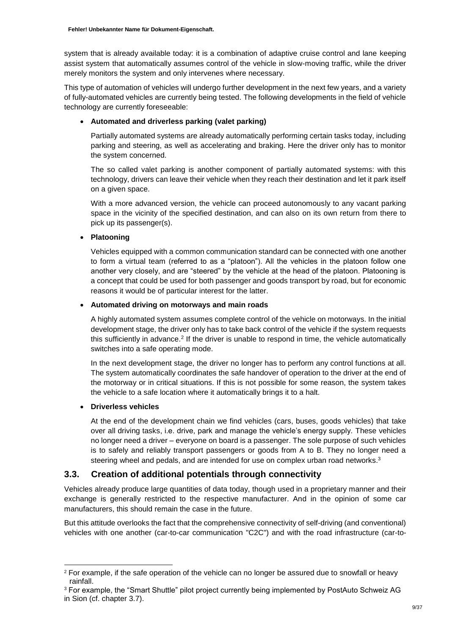system that is already available today: it is a combination of adaptive cruise control and lane keeping assist system that automatically assumes control of the vehicle in slow-moving traffic, while the driver merely monitors the system and only intervenes where necessary.

This type of automation of vehicles will undergo further development in the next few years, and a variety of fully-automated vehicles are currently being tested. The following developments in the field of vehicle technology are currently foreseeable:

### **Automated and driverless parking (valet parking)**

Partially automated systems are already automatically performing certain tasks today, including parking and steering, as well as accelerating and braking. Here the driver only has to monitor the system concerned.

The so called valet parking is another component of partially automated systems: with this technology, drivers can leave their vehicle when they reach their destination and let it park itself on a given space.

With a more advanced version, the vehicle can proceed autonomously to any vacant parking space in the vicinity of the specified destination, and can also on its own return from there to pick up its passenger(s).

### **Platooning**

Vehicles equipped with a common communication standard can be connected with one another to form a virtual team (referred to as a "platoon"). All the vehicles in the platoon follow one another very closely, and are "steered" by the vehicle at the head of the platoon. Platooning is a concept that could be used for both passenger and goods transport by road, but for economic reasons it would be of particular interest for the latter.

### **Automated driving on motorways and main roads**

A highly automated system assumes complete control of the vehicle on motorways. In the initial development stage, the driver only has to take back control of the vehicle if the system requests this sufficiently in advance.<sup>2</sup> If the driver is unable to respond in time, the vehicle automatically switches into a safe operating mode.

In the next development stage, the driver no longer has to perform any control functions at all. The system automatically coordinates the safe handover of operation to the driver at the end of the motorway or in critical situations. If this is not possible for some reason, the system takes the vehicle to a safe location where it automatically brings it to a halt.

### **Driverless vehicles**

-

At the end of the development chain we find vehicles (cars, buses, goods vehicles) that take over all driving tasks, i.e. drive, park and manage the vehicle's energy supply. These vehicles no longer need a driver – everyone on board is a passenger. The sole purpose of such vehicles is to safely and reliably transport passengers or goods from A to B. They no longer need a steering wheel and pedals, and are intended for use on complex urban road networks.<sup>3</sup>

### <span id="page-8-0"></span>**3.3. Creation of additional potentials through connectivity**

Vehicles already produce large quantities of data today, though used in a proprietary manner and their exchange is generally restricted to the respective manufacturer. And in the opinion of some car manufacturers, this should remain the case in the future.

But this attitude overlooks the fact that the comprehensive connectivity of self-driving (and conventional) vehicles with one another (car-to-car communication "C2C") and with the road infrastructure (car-to-

<sup>&</sup>lt;sup>2</sup> For example, if the safe operation of the vehicle can no longer be assured due to snowfall or heavy rainfall.

<sup>3</sup> For example, the "Smart Shuttle" pilot project currently being implemented by PostAuto Schweiz AG in Sion (cf. chapter 3.7).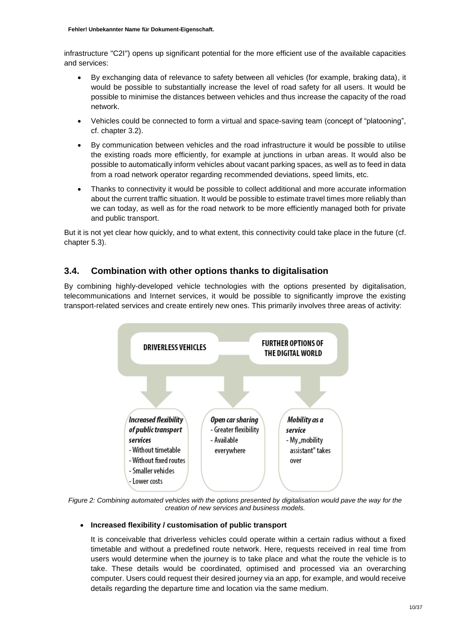infrastructure "C2I") opens up significant potential for the more efficient use of the available capacities and services:

- By exchanging data of relevance to safety between all vehicles (for example, braking data), it would be possible to substantially increase the level of road safety for all users. It would be possible to minimise the distances between vehicles and thus increase the capacity of the road network.
- Vehicles could be connected to form a virtual and space-saving team (concept of "platooning", cf. chapter 3.2).
- By communication between vehicles and the road infrastructure it would be possible to utilise the existing roads more efficiently, for example at junctions in urban areas. It would also be possible to automatically inform vehicles about vacant parking spaces, as well as to feed in data from a road network operator regarding recommended deviations, speed limits, etc.
- Thanks to connectivity it would be possible to collect additional and more accurate information about the current traffic situation. It would be possible to estimate travel times more reliably than we can today, as well as for the road network to be more efficiently managed both for private and public transport.

But it is not yet clear how quickly, and to what extent, this connectivity could take place in the future (cf. chapter 5.3).

### <span id="page-9-0"></span>**3.4. Combination with other options thanks to digitalisation**

By combining highly-developed vehicle technologies with the options presented by digitalisation, telecommunications and Internet services, it would be possible to significantly improve the existing transport-related services and create entirely new ones. This primarily involves three areas of activity:



Figure 2: Combining automated vehicles with the options presented by digitalisation would pave the way for the *creation of new services and business models.*

### **Increased flexibility / customisation of public transport**

It is conceivable that driverless vehicles could operate within a certain radius without a fixed timetable and without a predefined route network. Here, requests received in real time from users would determine when the journey is to take place and what the route the vehicle is to take. These details would be coordinated, optimised and processed via an overarching computer. Users could request their desired journey via an app, for example, and would receive details regarding the departure time and location via the same medium.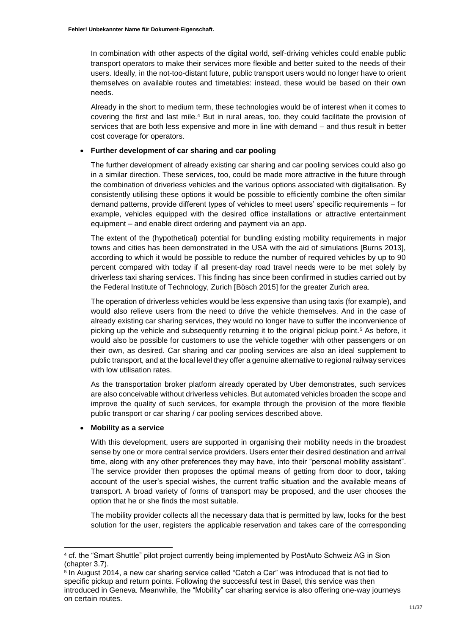In combination with other aspects of the digital world, self-driving vehicles could enable public transport operators to make their services more flexible and better suited to the needs of their users. Ideally, in the not-too-distant future, public transport users would no longer have to orient themselves on available routes and timetables: instead, these would be based on their own needs.

Already in the short to medium term, these technologies would be of interest when it comes to covering the first and last mile.<sup>4</sup> But in rural areas, too, they could facilitate the provision of services that are both less expensive and more in line with demand – and thus result in better cost coverage for operators.

### **Further development of car sharing and car pooling**

The further development of already existing car sharing and car pooling services could also go in a similar direction. These services, too, could be made more attractive in the future through the combination of driverless vehicles and the various options associated with digitalisation. By consistently utilising these options it would be possible to efficiently combine the often similar demand patterns, provide different types of vehicles to meet users' specific requirements – for example, vehicles equipped with the desired office installations or attractive entertainment equipment – and enable direct ordering and payment via an app.

The extent of the (hypothetical) potential for bundling existing mobility requirements in major towns and cities has been demonstrated in the USA with the aid of simulations [Burns 2013], according to which it would be possible to reduce the number of required vehicles by up to 90 percent compared with today if all present-day road travel needs were to be met solely by driverless taxi sharing services. This finding has since been confirmed in studies carried out by the Federal Institute of Technology, Zurich [Bösch 2015] for the greater Zurich area.

The operation of driverless vehicles would be less expensive than using taxis (for example), and would also relieve users from the need to drive the vehicle themselves. And in the case of already existing car sharing services, they would no longer have to suffer the inconvenience of picking up the vehicle and subsequently returning it to the original pickup point.<sup>5</sup> As before, it would also be possible for customers to use the vehicle together with other passengers or on their own, as desired. Car sharing and car pooling services are also an ideal supplement to public transport, and at the local level they offer a genuine alternative to regional railway services with low utilisation rates.

As the transportation broker platform already operated by Uber demonstrates, such services are also conceivable without driverless vehicles. But automated vehicles broaden the scope and improve the quality of such services, for example through the provision of the more flexible public transport or car sharing / car pooling services described above.

### **Mobility as a service**

-

With this development, users are supported in organising their mobility needs in the broadest sense by one or more central service providers. Users enter their desired destination and arrival time, along with any other preferences they may have, into their "personal mobility assistant". The service provider then proposes the optimal means of getting from door to door, taking account of the user's special wishes, the current traffic situation and the available means of transport. A broad variety of forms of transport may be proposed, and the user chooses the option that he or she finds the most suitable.

The mobility provider collects all the necessary data that is permitted by law, looks for the best solution for the user, registers the applicable reservation and takes care of the corresponding

<sup>4</sup> cf. the "Smart Shuttle" pilot project currently being implemented by PostAuto Schweiz AG in Sion (chapter 3.7).

<sup>5</sup> In August 2014, a new car sharing service called "Catch a Car" was introduced that is not tied to specific pickup and return points. Following the successful test in Basel, this service was then introduced in Geneva. Meanwhile, the "Mobility" car sharing service is also offering one-way journeys on certain routes.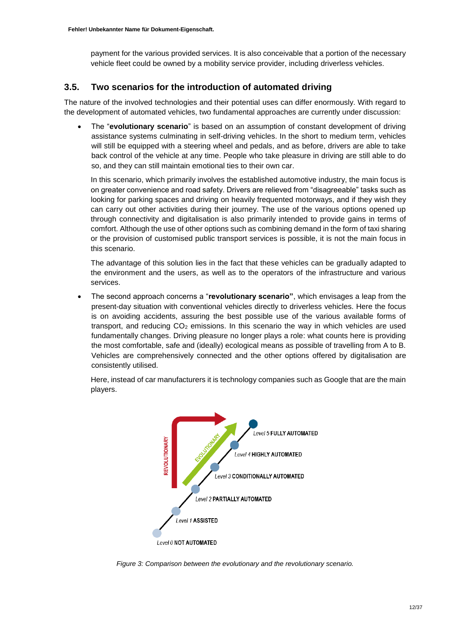payment for the various provided services. It is also conceivable that a portion of the necessary vehicle fleet could be owned by a mobility service provider, including driverless vehicles.

### <span id="page-11-0"></span>**3.5. Two scenarios for the introduction of automated driving**

The nature of the involved technologies and their potential uses can differ enormously. With regard to the development of automated vehicles, two fundamental approaches are currently under discussion:

 The "**evolutionary scenario**" is based on an assumption of constant development of driving assistance systems culminating in self-driving vehicles. In the short to medium term, vehicles will still be equipped with a steering wheel and pedals, and as before, drivers are able to take back control of the vehicle at any time. People who take pleasure in driving are still able to do so, and they can still maintain emotional ties to their own car.

In this scenario, which primarily involves the established automotive industry, the main focus is on greater convenience and road safety. Drivers are relieved from "disagreeable" tasks such as looking for parking spaces and driving on heavily frequented motorways, and if they wish they can carry out other activities during their journey. The use of the various options opened up through connectivity and digitalisation is also primarily intended to provide gains in terms of comfort. Although the use of other options such as combining demand in the form of taxi sharing or the provision of customised public transport services is possible, it is not the main focus in this scenario.

The advantage of this solution lies in the fact that these vehicles can be gradually adapted to the environment and the users, as well as to the operators of the infrastructure and various services.

 The second approach concerns a "**revolutionary scenario"**, which envisages a leap from the present-day situation with conventional vehicles directly to driverless vehicles. Here the focus is on avoiding accidents, assuring the best possible use of the various available forms of transport, and reducing  $CO<sub>2</sub>$  emissions. In this scenario the way in which vehicles are used fundamentally changes. Driving pleasure no longer plays a role: what counts here is providing the most comfortable, safe and (ideally) ecological means as possible of travelling from A to B. Vehicles are comprehensively connected and the other options offered by digitalisation are consistently utilised.

Here, instead of car manufacturers it is technology companies such as Google that are the main players.



*Figure 3: Comparison between the evolutionary and the revolutionary scenario.*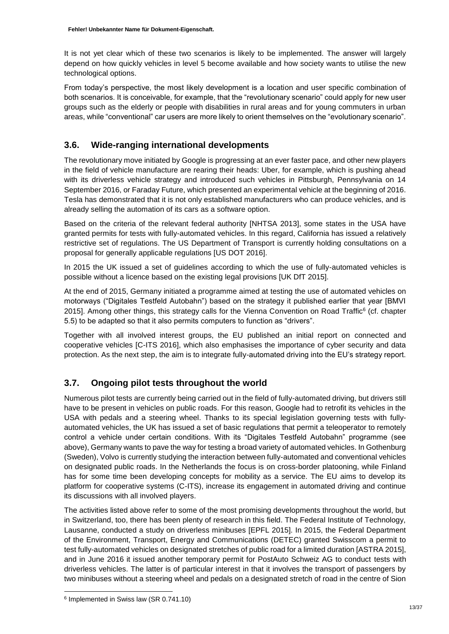It is not yet clear which of these two scenarios is likely to be implemented. The answer will largely depend on how quickly vehicles in level 5 become available and how society wants to utilise the new technological options.

From today's perspective, the most likely development is a location and user specific combination of both scenarios. It is conceivable, for example, that the "revolutionary scenario" could apply for new user groups such as the elderly or people with disabilities in rural areas and for young commuters in urban areas, while "conventional" car users are more likely to orient themselves on the "evolutionary scenario".

### <span id="page-12-0"></span>**3.6. Wide-ranging international developments**

The revolutionary move initiated by Google is progressing at an ever faster pace, and other new players in the field of vehicle manufacture are rearing their heads: Uber, for example, which is pushing ahead with its driverless vehicle strategy and introduced such vehicles in Pittsburgh, Pennsylvania on 14 September 2016, or Faraday Future, which presented an experimental vehicle at the beginning of 2016. Tesla has demonstrated that it is not only established manufacturers who can produce vehicles, and is already selling the automation of its cars as a software option.

Based on the criteria of the relevant federal authority [NHTSA 2013], some states in the USA have granted permits for tests with fully-automated vehicles. In this regard, California has issued a relatively restrictive set of regulations. The US Department of Transport is currently holding consultations on a proposal for generally applicable regulations [US DOT 2016].

In 2015 the UK issued a set of guidelines according to which the use of fully-automated vehicles is possible without a licence based on the existing legal provisions [UK DfT 2015].

At the end of 2015, Germany initiated a programme aimed at testing the use of automated vehicles on motorways ("Digitales Testfeld Autobahn") based on the strategy it published earlier that year [BMVI 2015]. Among other things, this strategy calls for the Vienna Convention on Road Traffic<sup>6</sup> (cf. chapter 5.5) to be adapted so that it also permits computers to function as "drivers".

Together with all involved interest groups, the EU published an initial report on connected and cooperative vehicles [C-ITS 2016], which also emphasises the importance of cyber security and data protection. As the next step, the aim is to integrate fully-automated driving into the EU's strategy report.

### <span id="page-12-1"></span>**3.7. Ongoing pilot tests throughout the world**

Numerous pilot tests are currently being carried out in the field of fully-automated driving, but drivers still have to be present in vehicles on public roads. For this reason, Google had to retrofit its vehicles in the USA with pedals and a steering wheel. Thanks to its special legislation governing tests with fullyautomated vehicles, the UK has issued a set of basic regulations that permit a teleoperator to remotely control a vehicle under certain conditions. With its "Digitales Testfeld Autobahn" programme (see above), Germany wants to pave the way for testing a broad variety of automated vehicles. In Gothenburg (Sweden), Volvo is currently studying the interaction between fully-automated and conventional vehicles on designated public roads. In the Netherlands the focus is on cross-border platooning, while Finland has for some time been developing concepts for mobility as a service. The EU aims to develop its platform for cooperative systems (C-ITS), increase its engagement in automated driving and continue its discussions with all involved players.

The activities listed above refer to some of the most promising developments throughout the world, but in Switzerland, too, there has been plenty of research in this field. The Federal Institute of Technology, Lausanne, conducted a study on driverless minibuses [EPFL 2015]. In 2015, the Federal Department of the Environment, Transport, Energy and Communications (DETEC) granted Swisscom a permit to test fully-automated vehicles on designated stretches of public road for a limited duration [ASTRA 2015], and in June 2016 it issued another temporary permit for PostAuto Schweiz AG to conduct tests with driverless vehicles. The latter is of particular interest in that it involves the transport of passengers by two minibuses without a steering wheel and pedals on a designated stretch of road in the centre of Sion

-

<sup>6</sup> Implemented in Swiss law (SR 0.741.10)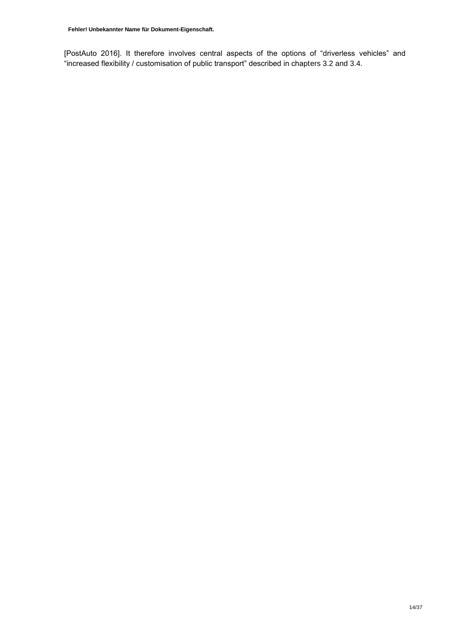[PostAuto 2016]. It therefore involves central aspects of the options of "driverless vehicles" and "increased flexibility / customisation of public transport" described in chapters 3.2 and 3.4.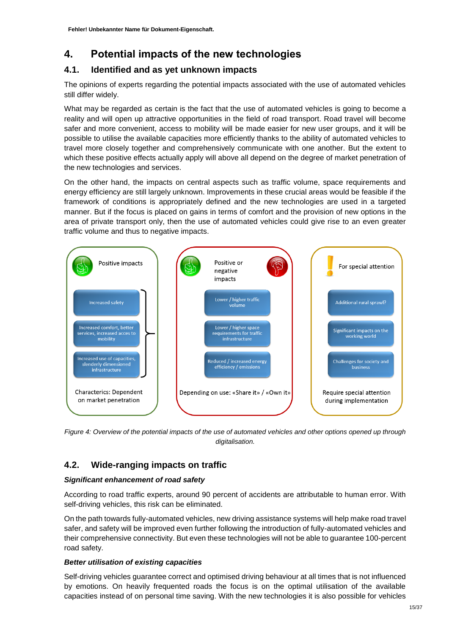## <span id="page-14-0"></span>**4. Potential impacts of the new technologies**

### <span id="page-14-1"></span>**4.1. Identified and as yet unknown impacts**

The opinions of experts regarding the potential impacts associated with the use of automated vehicles still differ widely.

What may be regarded as certain is the fact that the use of automated vehicles is going to become a reality and will open up attractive opportunities in the field of road transport. Road travel will become safer and more convenient, access to mobility will be made easier for new user groups, and it will be possible to utilise the available capacities more efficiently thanks to the ability of automated vehicles to travel more closely together and comprehensively communicate with one another. But the extent to which these positive effects actually apply will above all depend on the degree of market penetration of the new technologies and services.

On the other hand, the impacts on central aspects such as traffic volume, space requirements and energy efficiency are still largely unknown. Improvements in these crucial areas would be feasible if the framework of conditions is appropriately defined and the new technologies are used in a targeted manner. But if the focus is placed on gains in terms of comfort and the provision of new options in the area of private transport only, then the use of automated vehicles could give rise to an even greater traffic volume and thus to negative impacts.



*Figure 4: Overview of the potential impacts of the use of automated vehicles and other options opened up through digitalisation.*

### <span id="page-14-2"></span>**4.2. Wide-ranging impacts on traffic**

### *Significant enhancement of road safety*

According to road traffic experts, around 90 percent of accidents are attributable to human error. With self-driving vehicles, this risk can be eliminated.

On the path towards fully-automated vehicles, new driving assistance systems will help make road travel safer, and safety will be improved even further following the introduction of fully-automated vehicles and their comprehensive connectivity. But even these technologies will not be able to guarantee 100-percent road safety.

### *Better utilisation of existing capacities*

Self-driving vehicles guarantee correct and optimised driving behaviour at all times that is not influenced by emotions. On heavily frequented roads the focus is on the optimal utilisation of the available capacities instead of on personal time saving. With the new technologies it is also possible for vehicles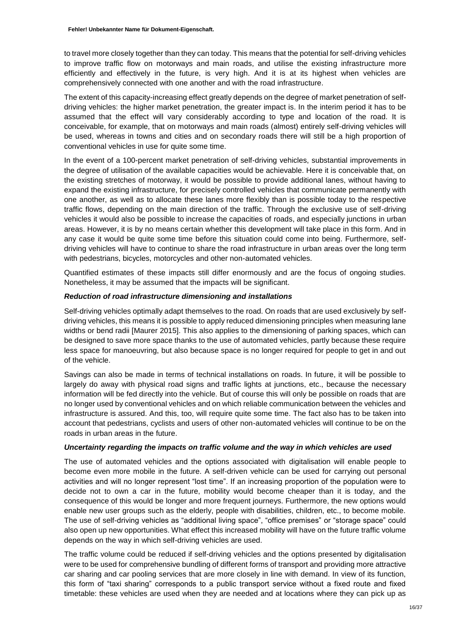to travel more closely together than they can today. This means that the potential for self-driving vehicles to improve traffic flow on motorways and main roads, and utilise the existing infrastructure more efficiently and effectively in the future, is very high. And it is at its highest when vehicles are comprehensively connected with one another and with the road infrastructure.

The extent of this capacity-increasing effect greatly depends on the degree of market penetration of selfdriving vehicles: the higher market penetration, the greater impact is. In the interim period it has to be assumed that the effect will vary considerably according to type and location of the road. It is conceivable, for example, that on motorways and main roads (almost) entirely self-driving vehicles will be used, whereas in towns and cities and on secondary roads there will still be a high proportion of conventional vehicles in use for quite some time.

In the event of a 100-percent market penetration of self-driving vehicles, substantial improvements in the degree of utilisation of the available capacities would be achievable. Here it is conceivable that, on the existing stretches of motorway, it would be possible to provide additional lanes, without having to expand the existing infrastructure, for precisely controlled vehicles that communicate permanently with one another, as well as to allocate these lanes more flexibly than is possible today to the respective traffic flows, depending on the main direction of the traffic. Through the exclusive use of self-driving vehicles it would also be possible to increase the capacities of roads, and especially junctions in urban areas. However, it is by no means certain whether this development will take place in this form. And in any case it would be quite some time before this situation could come into being. Furthermore, selfdriving vehicles will have to continue to share the road infrastructure in urban areas over the long term with pedestrians, bicycles, motorcycles and other non-automated vehicles.

Quantified estimates of these impacts still differ enormously and are the focus of ongoing studies. Nonetheless, it may be assumed that the impacts will be significant.

### *Reduction of road infrastructure dimensioning and installations*

Self-driving vehicles optimally adapt themselves to the road. On roads that are used exclusively by selfdriving vehicles, this means it is possible to apply reduced dimensioning principles when measuring lane widths or bend radii [Maurer 2015]. This also applies to the dimensioning of parking spaces, which can be designed to save more space thanks to the use of automated vehicles, partly because these require less space for manoeuvring, but also because space is no longer required for people to get in and out of the vehicle.

Savings can also be made in terms of technical installations on roads. In future, it will be possible to largely do away with physical road signs and traffic lights at junctions, etc., because the necessary information will be fed directly into the vehicle. But of course this will only be possible on roads that are no longer used by conventional vehicles and on which reliable communication between the vehicles and infrastructure is assured. And this, too, will require quite some time. The fact also has to be taken into account that pedestrians, cyclists and users of other non-automated vehicles will continue to be on the roads in urban areas in the future.

#### *Uncertainty regarding the impacts on traffic volume and the way in which vehicles are used*

The use of automated vehicles and the options associated with digitalisation will enable people to become even more mobile in the future. A self-driven vehicle can be used for carrying out personal activities and will no longer represent "lost time". If an increasing proportion of the population were to decide not to own a car in the future, mobility would become cheaper than it is today, and the consequence of this would be longer and more frequent journeys. Furthermore, the new options would enable new user groups such as the elderly, people with disabilities, children, etc., to become mobile. The use of self-driving vehicles as "additional living space", "office premises" or "storage space" could also open up new opportunities. What effect this increased mobility will have on the future traffic volume depends on the way in which self-driving vehicles are used.

The traffic volume could be reduced if self-driving vehicles and the options presented by digitalisation were to be used for comprehensive bundling of different forms of transport and providing more attractive car sharing and car pooling services that are more closely in line with demand. In view of its function, this form of "taxi sharing" corresponds to a public transport service without a fixed route and fixed timetable: these vehicles are used when they are needed and at locations where they can pick up as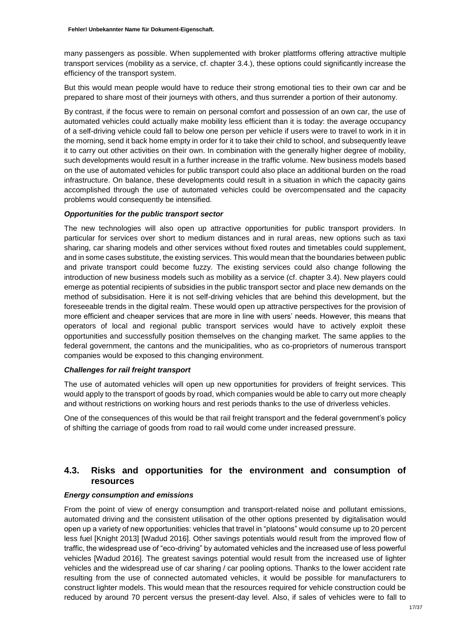many passengers as possible. When supplemented with broker plattforms offering attractive multiple transport services (mobility as a service, cf. chapter 3.4.), these options could significantly increase the efficiency of the transport system.

But this would mean people would have to reduce their strong emotional ties to their own car and be prepared to share most of their journeys with others, and thus surrender a portion of their autonomy.

By contrast, if the focus were to remain on personal comfort and possession of an own car, the use of automated vehicles could actually make mobility less efficient than it is today: the average occupancy of a self-driving vehicle could fall to below one person per vehicle if users were to travel to work in it in the morning, send it back home empty in order for it to take their child to school, and subsequently leave it to carry out other activities on their own. In combination with the generally higher degree of mobility, such developments would result in a further increase in the traffic volume. New business models based on the use of automated vehicles for public transport could also place an additional burden on the road infrastructure. On balance, these developments could result in a situation in which the capacity gains accomplished through the use of automated vehicles could be overcompensated and the capacity problems would consequently be intensified.

#### *Opportunities for the public transport sector*

The new technologies will also open up attractive opportunities for public transport providers. In particular for services over short to medium distances and in rural areas, new options such as taxi sharing, car sharing models and other services without fixed routes and timetables could supplement, and in some cases substitute, the existing services. This would mean that the boundaries between public and private transport could become fuzzy. The existing services could also change following the introduction of new business models such as mobility as a service (cf. chapter 3.4). New players could emerge as potential recipients of subsidies in the public transport sector and place new demands on the method of subsidisation. Here it is not self-driving vehicles that are behind this development, but the foreseeable trends in the digital realm. These would open up attractive perspectives for the provision of more efficient and cheaper services that are more in line with users' needs. However, this means that operators of local and regional public transport services would have to actively exploit these opportunities and successfully position themselves on the changing market. The same applies to the federal government, the cantons and the municipalities, who as co-proprietors of numerous transport companies would be exposed to this changing environment.

#### *Challenges for rail freight transport*

The use of automated vehicles will open up new opportunities for providers of freight services. This would apply to the transport of goods by road, which companies would be able to carry out more cheaply and without restrictions on working hours and rest periods thanks to the use of driverless vehicles.

One of the consequences of this would be that rail freight transport and the federal government's policy of shifting the carriage of goods from road to rail would come under increased pressure.

### <span id="page-16-0"></span>**4.3. Risks and opportunities for the environment and consumption of resources**

### *Energy consumption and emissions*

From the point of view of energy consumption and transport-related noise and pollutant emissions, automated driving and the consistent utilisation of the other options presented by digitalisation would open up a variety of new opportunities: vehicles that travel in "platoons" would consume up to 20 percent less fuel [Knight 2013] [Wadud 2016]. Other savings potentials would result from the improved flow of traffic, the widespread use of "eco-driving" by automated vehicles and the increased use of less powerful vehicles [Wadud 2016]. The greatest savings potential would result from the increased use of lighter vehicles and the widespread use of car sharing / car pooling options. Thanks to the lower accident rate resulting from the use of connected automated vehicles, it would be possible for manufacturers to construct lighter models. This would mean that the resources required for vehicle construction could be reduced by around 70 percent versus the present-day level. Also, if sales of vehicles were to fall to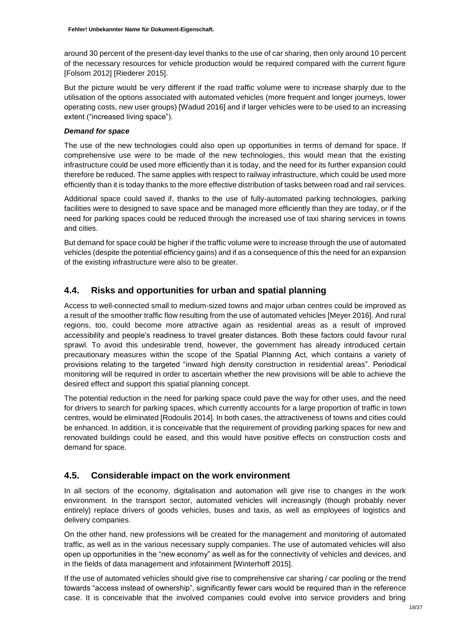around 30 percent of the present-day level thanks to the use of car sharing, then only around 10 percent of the necessary resources for vehicle production would be required compared with the current figure [Folsom 2012] [Riederer 2015].

But the picture would be very different if the road traffic volume were to increase sharply due to the utilisation of the options associated with automated vehicles (more frequent and longer journeys, lower operating costs, new user groups) [Wadud 2016] and if larger vehicles were to be used to an increasing extent ("increased living space").

#### *Demand for space*

The use of the new technologies could also open up opportunities in terms of demand for space. If comprehensive use were to be made of the new technologies, this would mean that the existing infrastructure could be used more efficiently than it is today, and the need for its further expansion could therefore be reduced. The same applies with respect to railway infrastructure, which could be used more efficiently than it is today thanks to the more effective distribution of tasks between road and rail services.

Additional space could saved if, thanks to the use of fully-automated parking technologies, parking facilities were to designed to save space and be managed more efficiently than they are today, or if the need for parking spaces could be reduced through the increased use of taxi sharing services in towns and cities.

But demand for space could be higher if the traffic volume were to increase through the use of automated vehicles (despite the potential efficiency gains) and if as a consequence of this the need for an expansion of the existing infrastructure were also to be greater.

### <span id="page-17-0"></span>**4.4. Risks and opportunities for urban and spatial planning**

Access to well-connected small to medium-sized towns and major urban centres could be improved as a result of the smoother traffic flow resulting from the use of automated vehicles [Meyer 2016]. And rural regions, too, could become more attractive again as residential areas as a result of improved accessibility and people's readiness to travel greater distances. Both these factors could favour rural sprawl. To avoid this undesirable trend, however, the government has already introduced certain precautionary measures within the scope of the Spatial Planning Act, which contains a variety of provisions relating to the targeted "inward high density construction in residential areas". Periodical monitoring will be required in order to ascertain whether the new provisions will be able to achieve the desired effect and support this spatial planning concept.

The potential reduction in the need for parking space could pave the way for other uses, and the need for drivers to search for parking spaces, which currently accounts for a large proportion of traffic in town centres, would be eliminated [Rodoulis 2014]. In both cases, the attractiveness of towns and cities could be enhanced. In addition, it is conceivable that the requirement of providing parking spaces for new and renovated buildings could be eased, and this would have positive effects on construction costs and demand for space.

### <span id="page-17-1"></span>**4.5. Considerable impact on the work environment**

In all sectors of the economy, digitalisation and automation will give rise to changes in the work environment. In the transport sector, automated vehicles will increasingly (though probably never entirely) replace drivers of goods vehicles, buses and taxis, as well as employees of logistics and delivery companies.

On the other hand, new professions will be created for the management and monitoring of automated traffic, as well as in the various necessary supply companies. The use of automated vehicles will also open up opportunities in the "new economy" as well as for the connectivity of vehicles and devices, and in the fields of data management and infotainment [Winterhoff 2015].

If the use of automated vehicles should give rise to comprehensive car sharing / car pooling or the trend towards "access instead of ownership", significantly fewer cars would be required than in the reference case. It is conceivable that the involved companies could evolve into service providers and bring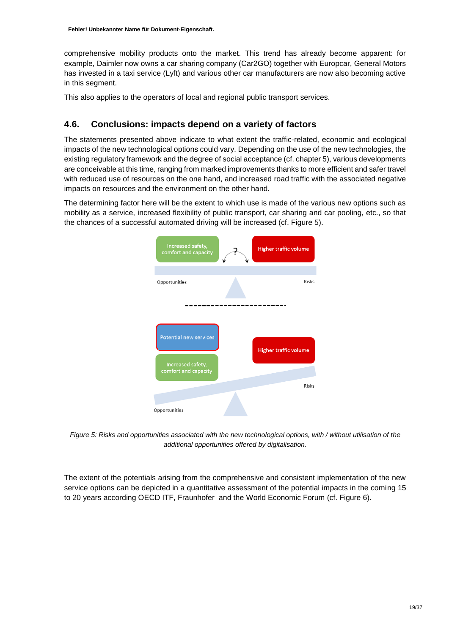comprehensive mobility products onto the market. This trend has already become apparent: for example, Daimler now owns a car sharing company (Car2GO) together with Europcar, General Motors has invested in a taxi service (Lyft) and various other car manufacturers are now also becoming active in this segment.

This also applies to the operators of local and regional public transport services.

### <span id="page-18-0"></span>**4.6. Conclusions: impacts depend on a variety of factors**

The statements presented above indicate to what extent the traffic-related, economic and ecological impacts of the new technological options could vary. Depending on the use of the new technologies, the existing regulatory framework and the degree of social acceptance (cf. chapter 5), various developments are conceivable at this time, ranging from marked improvements thanks to more efficient and safer travel with reduced use of resources on the one hand, and increased road traffic with the associated negative impacts on resources and the environment on the other hand.

The determining factor here will be the extent to which use is made of the various new options such as mobility as a service, increased flexibility of public transport, car sharing and car pooling, etc., so that the chances of a successful automated driving will be increased (cf. Figure 5).



*Figure 5: Risks and opportunities associated with the new technological options, with / without utilisation of the additional opportunities offered by digitalisation.* 

The extent of the potentials arising from the comprehensive and consistent implementation of the new service options can be depicted in a quantitative assessment of the potential impacts in the coming 15 to 20 years according OECD ITF, Fraunhofer and the World Economic Forum (cf. Figure 6).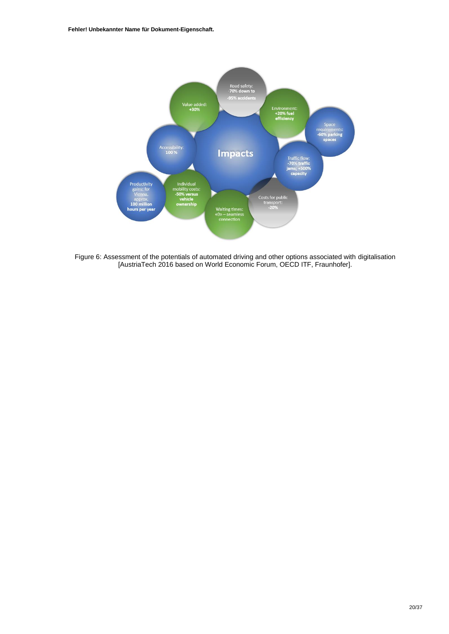**Fehler! Unbekannter Name für Dokument-Eigenschaft.**



Figure 6: Assessment of the potentials of automated driving and other options associated with digitalisation [AustriaTech 2016 based on World Economic Forum, OECD ITF, Fraunhofer].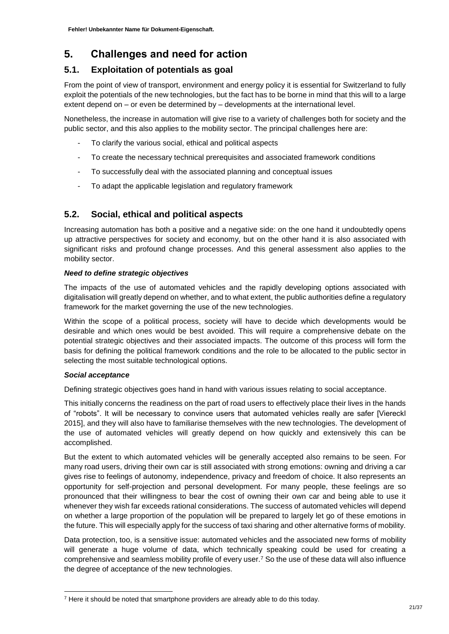## <span id="page-20-0"></span>**5. Challenges and need for action**

### <span id="page-20-1"></span>**5.1. Exploitation of potentials as goal**

From the point of view of transport, environment and energy policy it is essential for Switzerland to fully exploit the potentials of the new technologies, but the fact has to be borne in mind that this will to a large extent depend on – or even be determined by – developments at the international level.

Nonetheless, the increase in automation will give rise to a variety of challenges both for society and the public sector, and this also applies to the mobility sector. The principal challenges here are:

- To clarify the various social, ethical and political aspects
- To create the necessary technical prerequisites and associated framework conditions
- To successfully deal with the associated planning and conceptual issues
- To adapt the applicable legislation and regulatory framework

### <span id="page-20-2"></span>**5.2. Social, ethical and political aspects**

Increasing automation has both a positive and a negative side: on the one hand it undoubtedly opens up attractive perspectives for society and economy, but on the other hand it is also associated with significant risks and profound change processes. And this general assessment also applies to the mobility sector.

### *Need to define strategic objectives*

The impacts of the use of automated vehicles and the rapidly developing options associated with digitalisation will greatly depend on whether, and to what extent, the public authorities define a regulatory framework for the market governing the use of the new technologies.

Within the scope of a political process, society will have to decide which developments would be desirable and which ones would be best avoided. This will require a comprehensive debate on the potential strategic objectives and their associated impacts. The outcome of this process will form the basis for defining the political framework conditions and the role to be allocated to the public sector in selecting the most suitable technological options.

### *Social acceptance*

-

Defining strategic objectives goes hand in hand with various issues relating to social acceptance.

This initially concerns the readiness on the part of road users to effectively place their lives in the hands of "robots". It will be necessary to convince users that automated vehicles really are safer [Viereckl 2015], and they will also have to familiarise themselves with the new technologies. The development of the use of automated vehicles will greatly depend on how quickly and extensively this can be accomplished.

But the extent to which automated vehicles will be generally accepted also remains to be seen. For many road users, driving their own car is still associated with strong emotions: owning and driving a car gives rise to feelings of autonomy, independence, privacy and freedom of choice. It also represents an opportunity for self-projection and personal development. For many people, these feelings are so pronounced that their willingness to bear the cost of owning their own car and being able to use it whenever they wish far exceeds rational considerations. The success of automated vehicles will depend on whether a large proportion of the population will be prepared to largely let go of these emotions in the future. This will especially apply for the success of taxi sharing and other alternative forms of mobility.

Data protection, too, is a sensitive issue: automated vehicles and the associated new forms of mobility will generate a huge volume of data, which technically speaking could be used for creating a comprehensive and seamless mobility profile of every user.<sup>7</sup> So the use of these data will also influence the degree of acceptance of the new technologies.

<sup>&</sup>lt;sup>7</sup> Here it should be noted that smartphone providers are already able to do this today.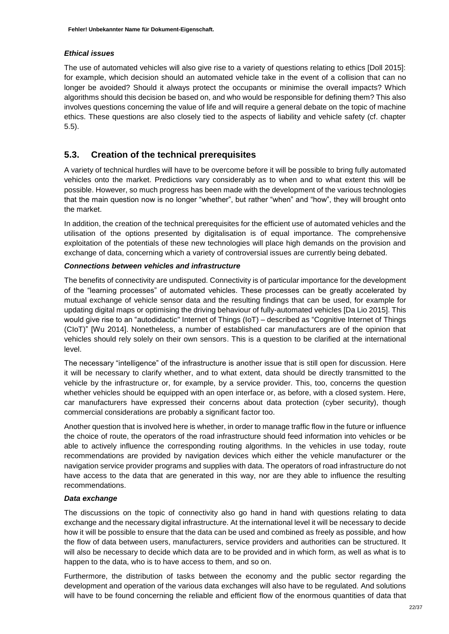### *Ethical issues*

The use of automated vehicles will also give rise to a variety of questions relating to ethics [Doll 2015]: for example, which decision should an automated vehicle take in the event of a collision that can no longer be avoided? Should it always protect the occupants or minimise the overall impacts? Which algorithms should this decision be based on, and who would be responsible for defining them? This also involves questions concerning the value of life and will require a general debate on the topic of machine ethics. These questions are also closely tied to the aspects of liability and vehicle safety (cf. chapter 5.5).

### <span id="page-21-0"></span>**5.3. Creation of the technical prerequisites**

A variety of technical hurdles will have to be overcome before it will be possible to bring fully automated vehicles onto the market. Predictions vary considerably as to when and to what extent this will be possible. However, so much progress has been made with the development of the various technologies that the main question now is no longer "whether", but rather "when" and "how", they will brought onto the market.

In addition, the creation of the technical prerequisites for the efficient use of automated vehicles and the utilisation of the options presented by digitalisation is of equal importance. The comprehensive exploitation of the potentials of these new technologies will place high demands on the provision and exchange of data, concerning which a variety of controversial issues are currently being debated.

### *Connections between vehicles and infrastructure*

The benefits of connectivity are undisputed. Connectivity is of particular importance for the development of the "learning processes" of automated vehicles. These processes can be greatly accelerated by mutual exchange of vehicle sensor data and the resulting findings that can be used, for example for updating digital maps or optimising the driving behaviour of fully-automated vehicles [Da Lio 2015]. This would give rise to an "autodidactic" Internet of Things (IoT) – described as "Cognitive Internet of Things (CIoT)" [Wu 2014]. Nonetheless, a number of established car manufacturers are of the opinion that vehicles should rely solely on their own sensors. This is a question to be clarified at the international level.

The necessary "intelligence" of the infrastructure is another issue that is still open for discussion. Here it will be necessary to clarify whether, and to what extent, data should be directly transmitted to the vehicle by the infrastructure or, for example, by a service provider. This, too, concerns the question whether vehicles should be equipped with an open interface or, as before, with a closed system. Here, car manufacturers have expressed their concerns about data protection (cyber security), though commercial considerations are probably a significant factor too.

Another question that is involved here is whether, in order to manage traffic flow in the future or influence the choice of route, the operators of the road infrastructure should feed information into vehicles or be able to actively influence the corresponding routing algorithms. In the vehicles in use today, route recommendations are provided by navigation devices which either the vehicle manufacturer or the navigation service provider programs and supplies with data. The operators of road infrastructure do not have access to the data that are generated in this way, nor are they able to influence the resulting recommendations.

### *Data exchange*

The discussions on the topic of connectivity also go hand in hand with questions relating to data exchange and the necessary digital infrastructure. At the international level it will be necessary to decide how it will be possible to ensure that the data can be used and combined as freely as possible, and how the flow of data between users, manufacturers, service providers and authorities can be structured. It will also be necessary to decide which data are to be provided and in which form, as well as what is to happen to the data, who is to have access to them, and so on.

Furthermore, the distribution of tasks between the economy and the public sector regarding the development and operation of the various data exchanges will also have to be regulated. And solutions will have to be found concerning the reliable and efficient flow of the enormous quantities of data that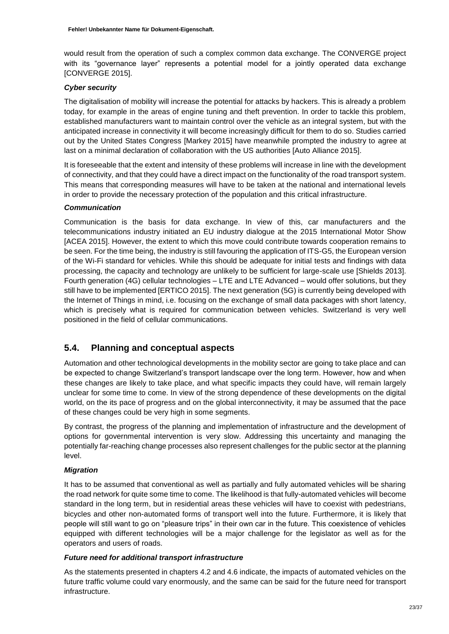would result from the operation of such a complex common data exchange. The CONVERGE project with its "governance layer" represents a potential model for a jointly operated data exchange [CONVERGE 2015].

### *Cyber security*

The digitalisation of mobility will increase the potential for attacks by hackers. This is already a problem today, for example in the areas of engine tuning and theft prevention. In order to tackle this problem, established manufacturers want to maintain control over the vehicle as an integral system, but with the anticipated increase in connectivity it will become increasingly difficult for them to do so. Studies carried out by the United States Congress [Markey 2015] have meanwhile prompted the industry to agree at last on a minimal declaration of collaboration with the US authorities [Auto Alliance 2015].

It is foreseeable that the extent and intensity of these problems will increase in line with the development of connectivity, and that they could have a direct impact on the functionality of the road transport system. This means that corresponding measures will have to be taken at the national and international levels in order to provide the necessary protection of the population and this critical infrastructure.

### *Communication*

Communication is the basis for data exchange. In view of this, car manufacturers and the telecommunications industry initiated an EU industry dialogue at the 2015 International Motor Show [ACEA 2015]. However, the extent to which this move could contribute towards cooperation remains to be seen. For the time being, the industry is still favouring the application of ITS-G5, the European version of the Wi-Fi standard for vehicles. While this should be adequate for initial tests and findings with data processing, the capacity and technology are unlikely to be sufficient for large-scale use [Shields 2013]. Fourth generation (4G) cellular technologies – LTE and LTE Advanced – would offer solutions, but they still have to be implemented [ERTICO 2015]. The next generation (5G) is currently being developed with the Internet of Things in mind, i.e. focusing on the exchange of small data packages with short latency, which is precisely what is required for communication between vehicles. Switzerland is very well positioned in the field of cellular communications.

### <span id="page-22-0"></span>**5.4. Planning and conceptual aspects**

Automation and other technological developments in the mobility sector are going to take place and can be expected to change Switzerland's transport landscape over the long term. However, how and when these changes are likely to take place, and what specific impacts they could have, will remain largely unclear for some time to come. In view of the strong dependence of these developments on the digital world, on the its pace of progress and on the global interconnectivity, it may be assumed that the pace of these changes could be very high in some segments.

By contrast, the progress of the planning and implementation of infrastructure and the development of options for governmental intervention is very slow. Addressing this uncertainty and managing the potentially far-reaching change processes also represent challenges for the public sector at the planning level.

### *Migration*

It has to be assumed that conventional as well as partially and fully automated vehicles will be sharing the road network for quite some time to come. The likelihood is that fully-automated vehicles will become standard in the long term, but in residential areas these vehicles will have to coexist with pedestrians, bicycles and other non-automated forms of transport well into the future. Furthermore, it is likely that people will still want to go on "pleasure trips" in their own car in the future. This coexistence of vehicles equipped with different technologies will be a major challenge for the legislator as well as for the operators and users of roads.

### *Future need for additional transport infrastructure*

As the statements presented in chapters 4.2 and 4.6 indicate, the impacts of automated vehicles on the future traffic volume could vary enormously, and the same can be said for the future need for transport infrastructure.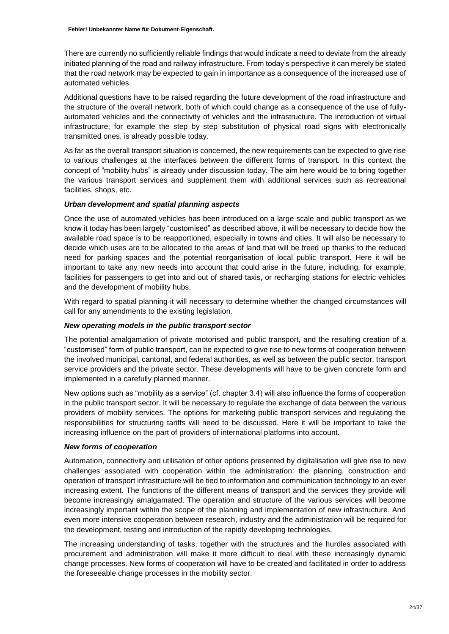There are currently no sufficiently reliable findings that would indicate a need to deviate from the already initiated planning of the road and railway infrastructure. From today's perspective it can merely be stated that the road network may be expected to gain in importance as a consequence of the increased use of automated vehicles.

Additional questions have to be raised regarding the future development of the road infrastructure and the structure of the overall network, both of which could change as a consequence of the use of fullyautomated vehicles and the connectivity of vehicles and the infrastructure. The introduction of virtual infrastructure, for example the step by step substitution of physical road signs with electronically transmitted ones, is already possible today.

As far as the overall transport situation is concerned, the new requirements can be expected to give rise to various challenges at the interfaces between the different forms of transport. In this context the concept of "mobility hubs" is already under discussion today. The aim here would be to bring together the various transport services and supplement them with additional services such as recreational facilities, shops, etc.

#### *Urban development and spatial planning aspects*

Once the use of automated vehicles has been introduced on a large scale and public transport as we know it today has been largely "customised" as described above, it will be necessary to decide how the available road space is to be reapportioned, especially in towns and cities. It will also be necessary to decide which uses are to be allocated to the areas of land that will be freed up thanks to the reduced need for parking spaces and the potential reorganisation of local public transport. Here it will be important to take any new needs into account that could arise in the future, including, for example, facilities for passengers to get into and out of shared taxis, or recharging stations for electric vehicles and the development of mobility hubs.

With regard to spatial planning it will necessary to determine whether the changed circumstances will call for any amendments to the existing legislation.

#### *New operating models in the public transport sector*

The potential amalgamation of private motorised and public transport, and the resulting creation of a "customised" form of public transport, can be expected to give rise to new forms of cooperation between the involved municipal, cantonal, and federal authorities, as well as between the public sector, transport service providers and the private sector. These developments will have to be given concrete form and implemented in a carefully planned manner.

New options such as "mobility as a service" (cf. chapter 3.4) will also influence the forms of cooperation in the public transport sector. It will be necessary to regulate the exchange of data between the various providers of mobility services. The options for marketing public transport services and regulating the responsibilities for structuring tariffs will need to be discussed. Here it will be important to take the increasing influence on the part of providers of international platforms into account.

#### *New forms of cooperation*

Automation, connectivity and utilisation of other options presented by digitalisation will give rise to new challenges associated with cooperation within the administration: the planning, construction and operation of transport infrastructure will be tied to information and communication technology to an ever increasing extent. The functions of the different means of transport and the services they provide will become increasingly amalgamated. The operation and structure of the various services will become increasingly important within the scope of the planning and implementation of new infrastructure. And even more intensive cooperation between research, industry and the administration will be required for the development, testing and introduction of the rapidly developing technologies.

The increasing understanding of tasks, together with the structures and the hurdles associated with procurement and administration will make it more difficult to deal with these increasingly dynamic change processes. New forms of cooperation will have to be created and facilitated in order to address the foreseeable change processes in the mobility sector.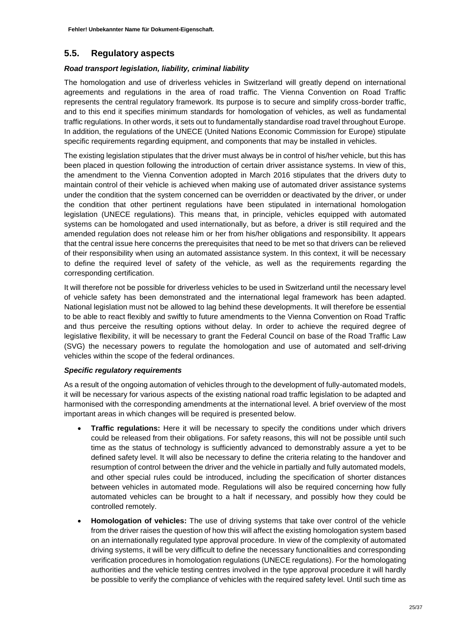### <span id="page-24-0"></span>**5.5. Regulatory aspects**

### *Road transport legislation, liability, criminal liability*

The homologation and use of driverless vehicles in Switzerland will greatly depend on international agreements and regulations in the area of road traffic. The Vienna Convention on Road Traffic represents the central regulatory framework. Its purpose is to secure and simplify cross-border traffic, and to this end it specifies minimum standards for homologation of vehicles, as well as fundamental traffic regulations. In other words, it sets out to fundamentally standardise road travel throughout Europe. In addition, the regulations of the UNECE (United Nations Economic Commission for Europe) stipulate specific requirements regarding equipment, and components that may be installed in vehicles.

The existing legislation stipulates that the driver must always be in control of his/her vehicle, but this has been placed in question following the introduction of certain driver assistance systems. In view of this, the amendment to the Vienna Convention adopted in March 2016 stipulates that the drivers duty to maintain control of their vehicle is achieved when making use of automated driver assistance systems under the condition that the system concerned can be overridden or deactivated by the driver, or under the condition that other pertinent regulations have been stipulated in international homologation legislation (UNECE regulations). This means that, in principle, vehicles equipped with automated systems can be homologated and used internationally, but as before, a driver is still required and the amended regulation does not release him or her from his/her obligations and responsibility. It appears that the central issue here concerns the prerequisites that need to be met so that drivers can be relieved of their responsibility when using an automated assistance system. In this context, it will be necessary to define the required level of safety of the vehicle, as well as the requirements regarding the corresponding certification.

It will therefore not be possible for driverless vehicles to be used in Switzerland until the necessary level of vehicle safety has been demonstrated and the international legal framework has been adapted. National legislation must not be allowed to lag behind these developments. It will therefore be essential to be able to react flexibly and swiftly to future amendments to the Vienna Convention on Road Traffic and thus perceive the resulting options without delay. In order to achieve the required degree of legislative flexibility, it will be necessary to grant the Federal Council on base of the Road Traffic Law (SVG) the necessary powers to regulate the homologation and use of automated and self-driving vehicles within the scope of the federal ordinances.

### *Specific regulatory requirements*

As a result of the ongoing automation of vehicles through to the development of fully-automated models, it will be necessary for various aspects of the existing national road traffic legislation to be adapted and harmonised with the corresponding amendments at the international level. A brief overview of the most important areas in which changes will be required is presented below.

- **Traffic regulations:** Here it will be necessary to specify the conditions under which drivers could be released from their obligations. For safety reasons, this will not be possible until such time as the status of technology is sufficiently advanced to demonstrably assure a yet to be defined safety level. It will also be necessary to define the criteria relating to the handover and resumption of control between the driver and the vehicle in partially and fully automated models, and other special rules could be introduced, including the specification of shorter distances between vehicles in automated mode. Regulations will also be required concerning how fully automated vehicles can be brought to a halt if necessary, and possibly how they could be controlled remotely.
- **Homologation of vehicles:** The use of driving systems that take over control of the vehicle from the driver raises the question of how this will affect the existing homologation system based on an internationally regulated type approval procedure. In view of the complexity of automated driving systems, it will be very difficult to define the necessary functionalities and corresponding verification procedures in homologation regulations (UNECE regulations). For the homologating authorities and the vehicle testing centres involved in the type approval procedure it will hardly be possible to verify the compliance of vehicles with the required safety level. Until such time as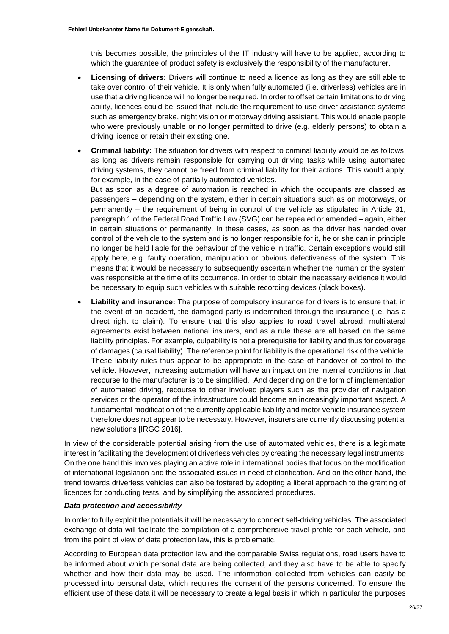this becomes possible, the principles of the IT industry will have to be applied, according to which the guarantee of product safety is exclusively the responsibility of the manufacturer.

- **Licensing of drivers:** Drivers will continue to need a licence as long as they are still able to take over control of their vehicle. It is only when fully automated (i.e. driverless) vehicles are in use that a driving licence will no longer be required. In order to offset certain limitations to driving ability, licences could be issued that include the requirement to use driver assistance systems such as emergency brake, night vision or motorway driving assistant. This would enable people who were previously unable or no longer permitted to drive (e.g. elderly persons) to obtain a driving licence or retain their existing one.
- **Criminal liability:** The situation for drivers with respect to criminal liability would be as follows: as long as drivers remain responsible for carrying out driving tasks while using automated driving systems, they cannot be freed from criminal liability for their actions. This would apply, for example, in the case of partially automated vehicles.

But as soon as a degree of automation is reached in which the occupants are classed as passengers – depending on the system, either in certain situations such as on motorways, or permanently – the requirement of being in control of the vehicle as stipulated in Article 31, paragraph 1 of the Federal Road Traffic Law (SVG) can be repealed or amended – again, either in certain situations or permanently. In these cases, as soon as the driver has handed over control of the vehicle to the system and is no longer responsible for it, he or she can in principle no longer be held liable for the behaviour of the vehicle in traffic. Certain exceptions would still apply here, e.g. faulty operation, manipulation or obvious defectiveness of the system. This means that it would be necessary to subsequently ascertain whether the human or the system was responsible at the time of its occurrence. In order to obtain the necessary evidence it would be necessary to equip such vehicles with suitable recording devices (black boxes).

 **Liability and insurance:** The purpose of compulsory insurance for drivers is to ensure that, in the event of an accident, the damaged party is indemnified through the insurance (i.e. has a direct right to claim). To ensure that this also applies to road travel abroad, multilateral agreements exist between national insurers, and as a rule these are all based on the same liability principles. For example, culpability is not a prerequisite for liability and thus for coverage of damages (causal liability). The reference point for liability is the operational risk of the vehicle. These liability rules thus appear to be appropriate in the case of handover of control to the vehicle. However, increasing automation will have an impact on the internal conditions in that recourse to the manufacturer is to be simplified. And depending on the form of implementation of automated driving, recourse to other involved players such as the provider of navigation services or the operator of the infrastructure could become an increasingly important aspect. A fundamental modification of the currently applicable liability and motor vehicle insurance system therefore does not appear to be necessary. However, insurers are currently discussing potential new solutions [IRGC 2016].

In view of the considerable potential arising from the use of automated vehicles, there is a legitimate interest in facilitating the development of driverless vehicles by creating the necessary legal instruments. On the one hand this involves playing an active role in international bodies that focus on the modification of international legislation and the associated issues in need of clarification. And on the other hand, the trend towards driverless vehicles can also be fostered by adopting a liberal approach to the granting of licences for conducting tests, and by simplifying the associated procedures.

#### *Data protection and accessibility*

In order to fully exploit the potentials it will be necessary to connect self-driving vehicles. The associated exchange of data will facilitate the compilation of a comprehensive travel profile for each vehicle, and from the point of view of data protection law, this is problematic.

According to European data protection law and the comparable Swiss regulations, road users have to be informed about which personal data are being collected, and they also have to be able to specify whether and how their data may be used. The information collected from vehicles can easily be processed into personal data, which requires the consent of the persons concerned. To ensure the efficient use of these data it will be necessary to create a legal basis in which in particular the purposes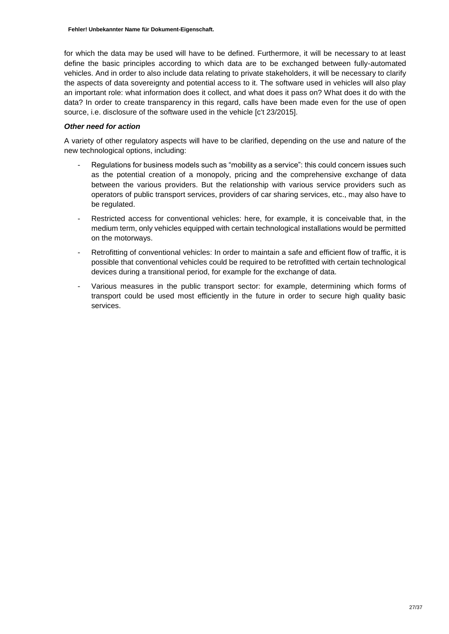for which the data may be used will have to be defined. Furthermore, it will be necessary to at least define the basic principles according to which data are to be exchanged between fully-automated vehicles. And in order to also include data relating to private stakeholders, it will be necessary to clarify the aspects of data sovereignty and potential access to it. The software used in vehicles will also play an important role: what information does it collect, and what does it pass on? What does it do with the data? In order to create transparency in this regard, calls have been made even for the use of open source, i.e. disclosure of the software used in the vehicle [c't 23/2015].

### *Other need for action*

A variety of other regulatory aspects will have to be clarified, depending on the use and nature of the new technological options, including:

- Regulations for business models such as "mobility as a service": this could concern issues such as the potential creation of a monopoly, pricing and the comprehensive exchange of data between the various providers. But the relationship with various service providers such as operators of public transport services, providers of car sharing services, etc., may also have to be regulated.
- Restricted access for conventional vehicles: here, for example, it is conceivable that, in the medium term, only vehicles equipped with certain technological installations would be permitted on the motorways.
- Retrofitting of conventional vehicles: In order to maintain a safe and efficient flow of traffic, it is possible that conventional vehicles could be required to be retrofitted with certain technological devices during a transitional period, for example for the exchange of data.
- Various measures in the public transport sector: for example, determining which forms of transport could be used most efficiently in the future in order to secure high quality basic services.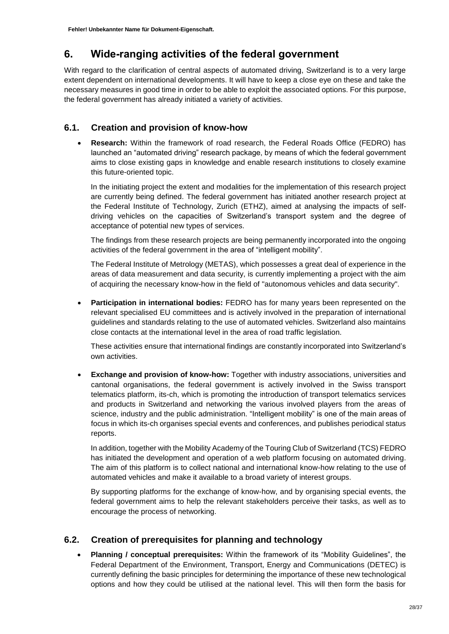## <span id="page-27-0"></span>**6. Wide-ranging activities of the federal government**

With regard to the clarification of central aspects of automated driving, Switzerland is to a very large extent dependent on international developments. It will have to keep a close eye on these and take the necessary measures in good time in order to be able to exploit the associated options. For this purpose, the federal government has already initiated a variety of activities.

### <span id="page-27-1"></span>**6.1. Creation and provision of know-how**

 **Research:** Within the framework of road research, the Federal Roads Office (FEDRO) has launched an "automated driving" research package, by means of which the federal government aims to close existing gaps in knowledge and enable research institutions to closely examine this future-oriented topic.

In the initiating project the extent and modalities for the implementation of this research project are currently being defined. The federal government has initiated another research project at the Federal Institute of Technology, Zurich (ETHZ), aimed at analysing the impacts of selfdriving vehicles on the capacities of Switzerland's transport system and the degree of acceptance of potential new types of services.

The findings from these research projects are being permanently incorporated into the ongoing activities of the federal government in the area of "intelligent mobility".

The Federal Institute of Metrology (METAS), which possesses a great deal of experience in the areas of data measurement and data security, is currently implementing a project with the aim of acquiring the necessary know-how in the field of "autonomous vehicles and data security".

 **Participation in international bodies:** FEDRO has for many years been represented on the relevant specialised EU committees and is actively involved in the preparation of international guidelines and standards relating to the use of automated vehicles. Switzerland also maintains close contacts at the international level in the area of road traffic legislation.

These activities ensure that international findings are constantly incorporated into Switzerland's own activities.

 **Exchange and provision of know-how:** Together with industry associations, universities and cantonal organisations, the federal government is actively involved in the Swiss transport telematics platform, its-ch, which is promoting the introduction of transport telematics services and products in Switzerland and networking the various involved players from the areas of science, industry and the public administration. "Intelligent mobility" is one of the main areas of focus in which its-ch organises special events and conferences, and publishes periodical status reports.

In addition, together with the Mobility Academy of the Touring Club of Switzerland (TCS) FEDRO has initiated the development and operation of a web platform focusing on automated driving. The aim of this platform is to collect national and international know-how relating to the use of automated vehicles and make it available to a broad variety of interest groups.

By supporting platforms for the exchange of know-how, and by organising special events, the federal government aims to help the relevant stakeholders perceive their tasks, as well as to encourage the process of networking.

### <span id="page-27-2"></span>**6.2. Creation of prerequisites for planning and technology**

 **Planning / conceptual prerequisites:** Within the framework of its "Mobility Guidelines", the Federal Department of the Environment, Transport, Energy and Communications (DETEC) is currently defining the basic principles for determining the importance of these new technological options and how they could be utilised at the national level. This will then form the basis for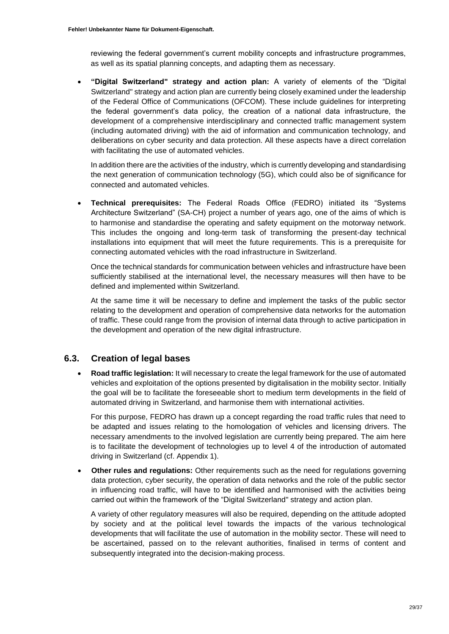reviewing the federal government's current mobility concepts and infrastructure programmes, as well as its spatial planning concepts, and adapting them as necessary.

 **"Digital Switzerland" strategy and action plan:** A variety of elements of the "Digital Switzerland" strategy and action plan are currently being closely examined under the leadership of the Federal Office of Communications (OFCOM). These include guidelines for interpreting the federal government's data policy, the creation of a national data infrastructure, the development of a comprehensive interdisciplinary and connected traffic management system (including automated driving) with the aid of information and communication technology, and deliberations on cyber security and data protection. All these aspects have a direct correlation with facilitating the use of automated vehicles.

In addition there are the activities of the industry, which is currently developing and standardising the next generation of communication technology (5G), which could also be of significance for connected and automated vehicles.

 **Technical prerequisites:** The Federal Roads Office (FEDRO) initiated its "Systems Architecture Switzerland" (SA-CH) project a number of years ago, one of the aims of which is to harmonise and standardise the operating and safety equipment on the motorway network. This includes the ongoing and long-term task of transforming the present-day technical installations into equipment that will meet the future requirements. This is a prerequisite for connecting automated vehicles with the road infrastructure in Switzerland.

Once the technical standards for communication between vehicles and infrastructure have been sufficiently stabilised at the international level, the necessary measures will then have to be defined and implemented within Switzerland.

At the same time it will be necessary to define and implement the tasks of the public sector relating to the development and operation of comprehensive data networks for the automation of traffic. These could range from the provision of internal data through to active participation in the development and operation of the new digital infrastructure.

### <span id="page-28-0"></span>**6.3. Creation of legal bases**

 **Road traffic legislation:** It will necessary to create the legal framework for the use of automated vehicles and exploitation of the options presented by digitalisation in the mobility sector. Initially the goal will be to facilitate the foreseeable short to medium term developments in the field of automated driving in Switzerland, and harmonise them with international activities.

For this purpose, FEDRO has drawn up a concept regarding the road traffic rules that need to be adapted and issues relating to the homologation of vehicles and licensing drivers. The necessary amendments to the involved legislation are currently being prepared. The aim here is to facilitate the development of technologies up to level 4 of the introduction of automated driving in Switzerland (cf. Appendix 1).

 **Other rules and regulations:** Other requirements such as the need for regulations governing data protection, cyber security, the operation of data networks and the role of the public sector in influencing road traffic, will have to be identified and harmonised with the activities being carried out within the framework of the "Digital Switzerland" strategy and action plan.

A variety of other regulatory measures will also be required, depending on the attitude adopted by society and at the political level towards the impacts of the various technological developments that will facilitate the use of automation in the mobility sector. These will need to be ascertained, passed on to the relevant authorities, finalised in terms of content and subsequently integrated into the decision-making process.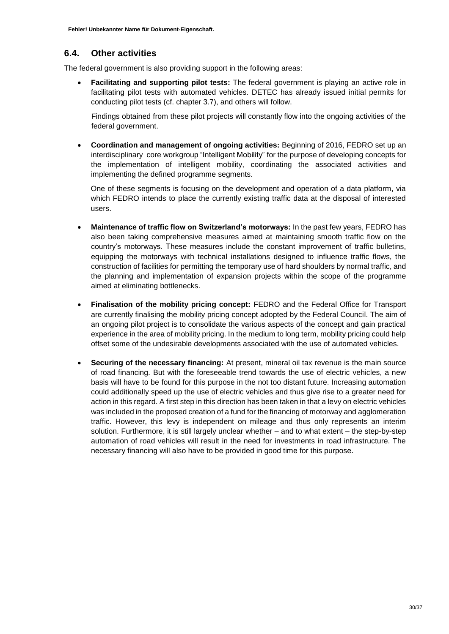**Fehler! Unbekannter Name für Dokument-Eigenschaft.**

### <span id="page-29-0"></span>**6.4. Other activities**

The federal government is also providing support in the following areas:

 **Facilitating and supporting pilot tests:** The federal government is playing an active role in facilitating pilot tests with automated vehicles. DETEC has already issued initial permits for conducting pilot tests (cf. chapter 3.7), and others will follow.

Findings obtained from these pilot projects will constantly flow into the ongoing activities of the federal government.

 **Coordination and management of ongoing activities:** Beginning of 2016, FEDRO set up an interdisciplinary core workgroup "Intelligent Mobility" for the purpose of developing concepts for the implementation of intelligent mobility, coordinating the associated activities and implementing the defined programme segments.

One of these segments is focusing on the development and operation of a data platform, via which FEDRO intends to place the currently existing traffic data at the disposal of interested users.

- **Maintenance of traffic flow on Switzerland's motorways:** In the past few years, FEDRO has also been taking comprehensive measures aimed at maintaining smooth traffic flow on the country's motorways. These measures include the constant improvement of traffic bulletins, equipping the motorways with technical installations designed to influence traffic flows, the construction of facilities for permitting the temporary use of hard shoulders by normal traffic, and the planning and implementation of expansion projects within the scope of the programme aimed at eliminating bottlenecks.
- **Finalisation of the mobility pricing concept:** FEDRO and the Federal Office for Transport are currently finalising the mobility pricing concept adopted by the Federal Council. The aim of an ongoing pilot project is to consolidate the various aspects of the concept and gain practical experience in the area of mobility pricing. In the medium to long term, mobility pricing could help offset some of the undesirable developments associated with the use of automated vehicles.
- **Securing of the necessary financing:** At present, mineral oil tax revenue is the main source of road financing. But with the foreseeable trend towards the use of electric vehicles, a new basis will have to be found for this purpose in the not too distant future. Increasing automation could additionally speed up the use of electric vehicles and thus give rise to a greater need for action in this regard. A first step in this direction has been taken in that a levy on electric vehicles was included in the proposed creation of a fund for the financing of motorway and agglomeration traffic. However, this levy is independent on mileage and thus only represents an interim solution. Furthermore, it is still largely unclear whether – and to what extent – the step-by-step automation of road vehicles will result in the need for investments in road infrastructure. The necessary financing will also have to be provided in good time for this purpose.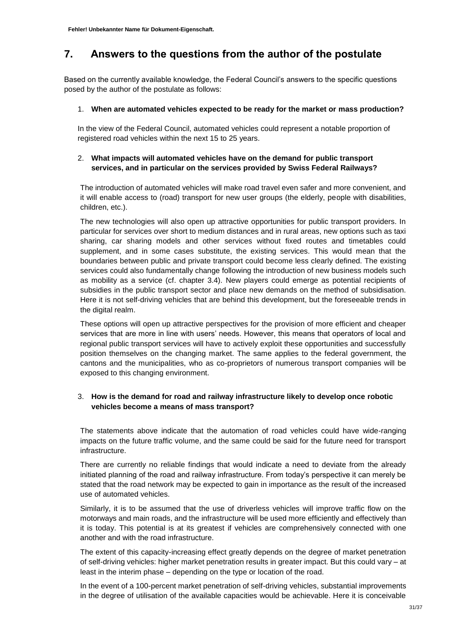## <span id="page-30-0"></span>**7. Answers to the questions from the author of the postulate**

Based on the currently available knowledge, the Federal Council's answers to the specific questions posed by the author of the postulate as follows:

### 1. **When are automated vehicles expected to be ready for the market or mass production?**

In the view of the Federal Council, automated vehicles could represent a notable proportion of registered road vehicles within the next 15 to 25 years.

### 2. **What impacts will automated vehicles have on the demand for public transport services, and in particular on the services provided by Swiss Federal Railways?**

The introduction of automated vehicles will make road travel even safer and more convenient, and it will enable access to (road) transport for new user groups (the elderly, people with disabilities, children, etc.).

The new technologies will also open up attractive opportunities for public transport providers. In particular for services over short to medium distances and in rural areas, new options such as taxi sharing, car sharing models and other services without fixed routes and timetables could supplement, and in some cases substitute, the existing services. This would mean that the boundaries between public and private transport could become less clearly defined. The existing services could also fundamentally change following the introduction of new business models such as mobility as a service (cf. chapter 3.4). New players could emerge as potential recipients of subsidies in the public transport sector and place new demands on the method of subsidisation. Here it is not self-driving vehicles that are behind this development, but the foreseeable trends in the digital realm.

These options will open up attractive perspectives for the provision of more efficient and cheaper services that are more in line with users' needs. However, this means that operators of local and regional public transport services will have to actively exploit these opportunities and successfully position themselves on the changing market. The same applies to the federal government, the cantons and the municipalities, who as co-proprietors of numerous transport companies will be exposed to this changing environment.

### 3. **How is the demand for road and railway infrastructure likely to develop once robotic vehicles become a means of mass transport?**

The statements above indicate that the automation of road vehicles could have wide-ranging impacts on the future traffic volume, and the same could be said for the future need for transport infrastructure.

There are currently no reliable findings that would indicate a need to deviate from the already initiated planning of the road and railway infrastructure. From today's perspective it can merely be stated that the road network may be expected to gain in importance as the result of the increased use of automated vehicles.

Similarly, it is to be assumed that the use of driverless vehicles will improve traffic flow on the motorways and main roads, and the infrastructure will be used more efficiently and effectively than it is today. This potential is at its greatest if vehicles are comprehensively connected with one another and with the road infrastructure.

The extent of this capacity-increasing effect greatly depends on the degree of market penetration of self-driving vehicles: higher market penetration results in greater impact. But this could vary – at least in the interim phase – depending on the type or location of the road.

In the event of a 100-percent market penetration of self-driving vehicles, substantial improvements in the degree of utilisation of the available capacities would be achievable. Here it is conceivable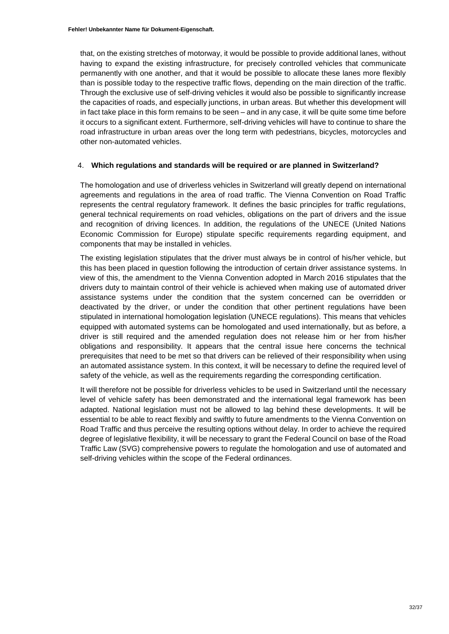that, on the existing stretches of motorway, it would be possible to provide additional lanes, without having to expand the existing infrastructure, for precisely controlled vehicles that communicate permanently with one another, and that it would be possible to allocate these lanes more flexibly than is possible today to the respective traffic flows, depending on the main direction of the traffic. Through the exclusive use of self-driving vehicles it would also be possible to significantly increase the capacities of roads, and especially junctions, in urban areas. But whether this development will in fact take place in this form remains to be seen – and in any case, it will be quite some time before it occurs to a significant extent. Furthermore, self-driving vehicles will have to continue to share the road infrastructure in urban areas over the long term with pedestrians, bicycles, motorcycles and other non-automated vehicles.

#### 4. **Which regulations and standards will be required or are planned in Switzerland?**

The homologation and use of driverless vehicles in Switzerland will greatly depend on international agreements and regulations in the area of road traffic. The Vienna Convention on Road Traffic represents the central regulatory framework. It defines the basic principles for traffic regulations, general technical requirements on road vehicles, obligations on the part of drivers and the issue and recognition of driving licences. In addition, the regulations of the UNECE (United Nations Economic Commission for Europe) stipulate specific requirements regarding equipment, and components that may be installed in vehicles.

The existing legislation stipulates that the driver must always be in control of his/her vehicle, but this has been placed in question following the introduction of certain driver assistance systems. In view of this, the amendment to the Vienna Convention adopted in March 2016 stipulates that the drivers duty to maintain control of their vehicle is achieved when making use of automated driver assistance systems under the condition that the system concerned can be overridden or deactivated by the driver, or under the condition that other pertinent regulations have been stipulated in international homologation legislation (UNECE regulations). This means that vehicles equipped with automated systems can be homologated and used internationally, but as before, a driver is still required and the amended regulation does not release him or her from his/her obligations and responsibility. It appears that the central issue here concerns the technical prerequisites that need to be met so that drivers can be relieved of their responsibility when using an automated assistance system. In this context, it will be necessary to define the required level of safety of the vehicle, as well as the requirements regarding the corresponding certification.

It will therefore not be possible for driverless vehicles to be used in Switzerland until the necessary level of vehicle safety has been demonstrated and the international legal framework has been adapted. National legislation must not be allowed to lag behind these developments. It will be essential to be able to react flexibly and swiftly to future amendments to the Vienna Convention on Road Traffic and thus perceive the resulting options without delay. In order to achieve the required degree of legislative flexibility, it will be necessary to grant the Federal Council on base of the Road Traffic Law (SVG) comprehensive powers to regulate the homologation and use of automated and self-driving vehicles within the scope of the Federal ordinances.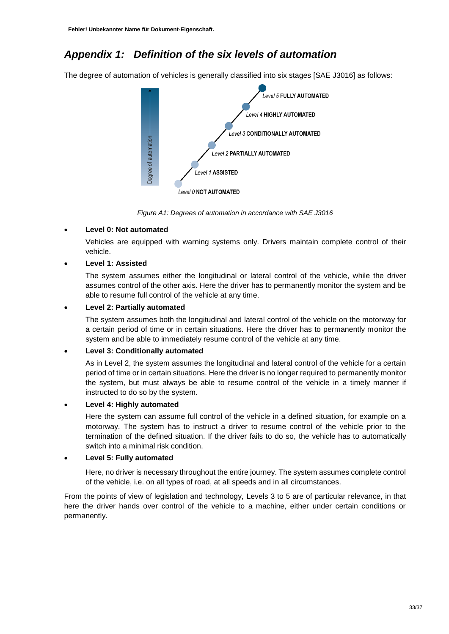## <span id="page-32-0"></span>*Appendix 1: Definition of the six levels of automation*

The degree of automation of vehicles is generally classified into six stages [SAE J3016] as follows:



*Figure A1: Degrees of automation in accordance with SAE J3016*

### **Level 0: Not automated**

Vehicles are equipped with warning systems only. Drivers maintain complete control of their vehicle.

### **Level 1: Assisted**

The system assumes either the longitudinal or lateral control of the vehicle, while the driver assumes control of the other axis. Here the driver has to permanently monitor the system and be able to resume full control of the vehicle at any time.

### **Level 2: Partially automated**

The system assumes both the longitudinal and lateral control of the vehicle on the motorway for a certain period of time or in certain situations. Here the driver has to permanently monitor the system and be able to immediately resume control of the vehicle at any time.

### **Level 3: Conditionally automated**

As in Level 2, the system assumes the longitudinal and lateral control of the vehicle for a certain period of time or in certain situations. Here the driver is no longer required to permanently monitor the system, but must always be able to resume control of the vehicle in a timely manner if instructed to do so by the system.

### **Level 4: Highly automated**

Here the system can assume full control of the vehicle in a defined situation, for example on a motorway. The system has to instruct a driver to resume control of the vehicle prior to the termination of the defined situation. If the driver fails to do so, the vehicle has to automatically switch into a minimal risk condition.

### **Level 5: Fully automated**

Here, no driver is necessary throughout the entire journey. The system assumes complete control of the vehicle, i.e. on all types of road, at all speeds and in all circumstances.

From the points of view of legislation and technology, Levels 3 to 5 are of particular relevance, in that here the driver hands over control of the vehicle to a machine, either under certain conditions or permanently.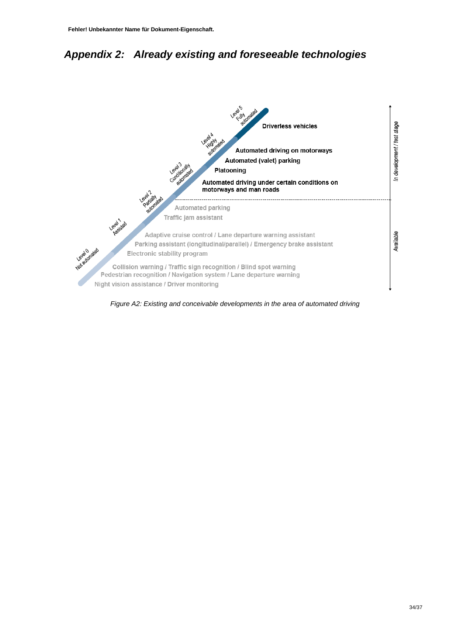## <span id="page-33-0"></span>*Appendix 2: Already existing and foreseeable technologies*



*Figure A2: Existing and conceivable developments in the area of automated driving*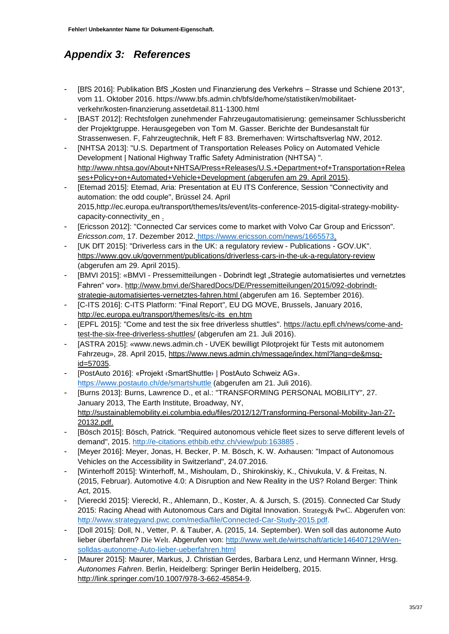## <span id="page-34-0"></span>*Appendix 3: References*

- [BfS 2016]: Publikation BfS "Kosten und Finanzierung des Verkehrs Strasse und Schiene 2013", vom 11. Oktober 2016. https://www.bfs.admin.ch/bfs/de/home/statistiken/mobilitaetverkehr/kosten-finanzierung.assetdetail.811-1300.html
- [BAST 2012]: Rechtsfolgen zunehmender Fahrzeugautomatisierung: gemeinsamer Schlussbericht der Projektgruppe. Herausgegeben von Tom M. Gasser. Berichte der Bundesanstalt für Strassenwesen. F, Fahrzeugtechnik, Heft F 83. Bremerhaven: Wirtschaftsverlag NW, 2012.
- [NHTSA 2013]: "U.S. Department of Transportation Releases Policy on Automated Vehicle Development | National Highway Traffic Safety Administration (NHTSA) ". [http://www.nhtsa.gov/About+NHTSA/Press+Releases/U.S.+Department+of+Transportation+Relea](http://www.nhtsa.gov/About+NHTSA/Press+Releases/U.S.+Department+of+Transportation+Releases+Policy+on+Automated+Vehicle+Development) [ses+Policy+on+Automated+Vehicle+Development](http://www.nhtsa.gov/About+NHTSA/Press+Releases/U.S.+Department+of+Transportation+Releases+Policy+on+Automated+Vehicle+Development) (abgerufen am 29. April 2015).
- [Etemad 2015]: Etemad, Aria: Presentation at EU ITS Conference, Session "Connectivity and automation: the odd couple", Brüssel 24. April 2015[,http://ec.europa.eu/transport/themes/its/event/its-conference-2015-digital-strategy-mobility](http://ec.europa.eu/transport/themes/its/event/its-conference-2015-digital-strategy-mobility-capacity-connectivity_en)[capacity-connectivity\\_en](http://ec.europa.eu/transport/themes/its/event/its-conference-2015-digital-strategy-mobility-capacity-connectivity_en) .
- [Ericsson 2012]: "Connected Car services come to market with Volvo Car Group and Ericsson". *Ericsson.com*, 17. Dezember 2012. [https://www.ericsson.com/news/1665573.](https://www.ericsson.com/news/1665573)
- [UK DfT 2015]: "Driverless cars in the UK: a regulatory review Publications GOV.UK". <https://www.gov.uk/government/publications/driverless-cars-in-the-uk-a-regulatory-review> (abgerufen am 29. April 2015).
- [BMVI 2015]: «BMVI Pressemitteilungen Dobrindt legt "Strategie automatisiertes und vernetztes Fahren" vor». [http://www.bmvi.de/SharedDocs/DE/Pressemitteilungen/2015/092-dobrindt](http://www.bmvi.de/SharedDocs/DE/Pressemitteilungen/2015/092-dobrindt-strategie-automatisiertes-vernetztes-fahren.html)[strategie-automatisiertes-vernetztes-fahren.html](http://www.bmvi.de/SharedDocs/DE/Pressemitteilungen/2015/092-dobrindt-strategie-automatisiertes-vernetztes-fahren.html) (abgerufen am 16. September 2016).
- [C-ITS 2016]: C-ITS Platform: "Final Report", EU DG MOVE, Brussels, January 2016, [http://ec.europa.eu/transport/themes/its/c-its\\_en.htm](http://ec.europa.eu/transport/themes/its/c-its_en.htm)
- [EPFL 2015]: "Come and test the six free driverless shuttles". [https://actu.epfl.ch/news/come-and](https://actu.epfl.ch/news/come-and-test-the-six-free-driverless-shuttles/)[test-the-six-free-driverless-shuttles/](https://actu.epfl.ch/news/come-and-test-the-six-free-driverless-shuttles/) (abgerufen am 21. Juli 2016).
- [ASTRA 2015]: «www.news.admin.ch UVEK bewilligt Pilotprojekt für Tests mit autonomem Fahrzeug», 28. April 2015, [https://www.news.admin.ch/message/index.html?lang=de&msg](https://www.news.admin.ch/message/index.html?lang=de&msg-id=57035)[id=57035.](https://www.news.admin.ch/message/index.html?lang=de&msg-id=57035)
- [PostAuto 2016]: «Projekt ‹SmartShuttle› | PostAuto Schweiz AG». <https://www.postauto.ch/de/smartshuttle> (abgerufen am 21. Juli 2016).
- [Burns 2013]: Burns, Lawrence D., et al.: "TRANSFORMING PERSONAL MOBILITY", 27. January 2013, The Earth Institute, Broadway, NY, [http://sustainablemobility.ei.columbia.edu/files/2012/12/Transforming-Personal-Mobility-Jan-27-](http://sustainablemobility.ei.columbia.edu/files/2012/12/Transforming-Personal-Mobility-Jan-27-20132.pdf) [20132.pdf.](http://sustainablemobility.ei.columbia.edu/files/2012/12/Transforming-Personal-Mobility-Jan-27-20132.pdf)
- [Bösch 2015]: Bösch, Patrick. "Required autonomous vehicle fleet sizes to serve different levels of demand", 2015.<http://e-citations.ethbib.ethz.ch/view/pub:163885> .
- [Meyer 2016]: Meyer, Jonas, H. Becker, P. M. Bösch, K. W. Axhausen: "Impact of Autonomous Vehicles on the Accessibility in Switzerland", 24.07.2016.
- [Winterhoff 2015]: Winterhoff, M., Mishoulam, D., Shirokinskiy, K., Chivukula, V. & Freitas, N. (2015, Februar). Automotive 4.0: A Disruption and New Reality in the US? Roland Berger: Think Act, 2015.
- [Viereckl 2015]: Viereckl, R., Ahlemann, D., Koster, A. & Jursch, S. (2015). Connected Car Study 2015: Racing Ahead with Autonomous Cars and Digital Innovation. Strategy& PwC. Abgerufen von: [http://www.strategyand.pwc.com/media/file/Connected-Car-Study-2015.pdf.](http://www.strategyand.pwc.com/media/file/Connected-Car-Study-2015.pdf)
- [Doll 2015]: Doll, N., Vetter, P. & Tauber, A. (2015, 14. September). Wen soll das autonome Auto lieber überfahren? Die Welt. Abgerufen von: [http://www.welt.de/wirtschaft/article146407129/Wen](http://www.welt.de/wirtschaft/article146407129/Wen-solldas-autonome-Auto-lieber-ueberfahren.html)[solldas-autonome-Auto-lieber-ueberfahren.html](http://www.welt.de/wirtschaft/article146407129/Wen-solldas-autonome-Auto-lieber-ueberfahren.html)
- [Maurer 2015]: Maurer, Markus, J. Christian Gerdes, Barbara Lenz, und Hermann Winner, Hrsg. *Autonomes Fahren*. Berlin, Heidelberg: Springer Berlin Heidelberg, 2015. [http://link.springer.com/10.1007/978-3-662-45854-9.](http://link.springer.com/10.1007/978-3-662-45854-9)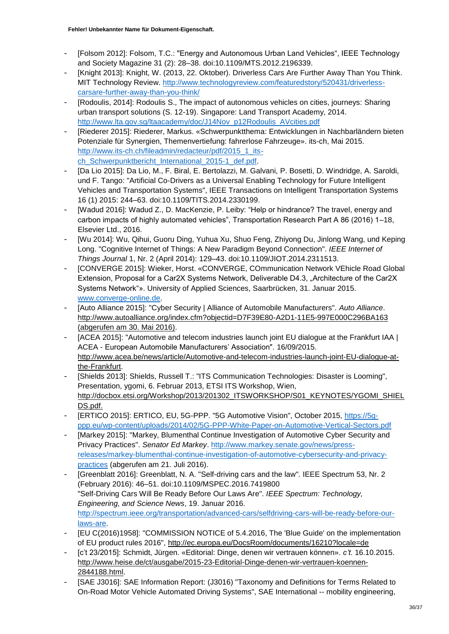- [Folsom 2012]: Folsom, T.C.: "Energy and Autonomous Urban Land Vehicles", IEEE Technology and Society Magazine 31 (2): 28–38. doi:10.1109/MTS.2012.2196339.
- [Knight 2013]: Knight, W. (2013, 22. Oktober). Driverless Cars Are Further Away Than You Think. MIT Technology Review. [http://www.technologyreview.com/featuredstory/520431/driverless](http://www.technologyreview.com/featuredstory/520431/driverless-carsare-further-away-than-you-think/)[carsare-further-away-than-you-think/](http://www.technologyreview.com/featuredstory/520431/driverless-carsare-further-away-than-you-think/)
- [Rodoulis, 2014]: Rodoulis S., The impact of autonomous vehicles on cities, journeys: Sharing urban transport solutions (S. 12-19). Singapore: Land Transport Academy, 2014. [http://www.lta.gov.sg/ltaacademy/doc/J14Nov\\_p12Rodoulis\\_AVcities.pdf](http://www.lta.gov.sg/ltaacademy/doc/J14Nov_p12Rodoulis_AVcities.pdf)
- [Riederer 2015]: Riederer, Markus. «Schwerpunktthema: Entwicklungen in Nachbarländern bieten Potenziale für Synergien, Themenvertiefung: fahrerlose Fahrzeuge». its-ch, Mai 2015. [http://www.its-ch.ch/fileadmin/redacteur/pdf/2015\\_1\\_its](http://www.its-ch.ch/fileadmin/redacteur/pdf/2015_1_its-ch_Schwerpunktbericht_International_2015-1_def.pdf)[ch\\_Schwerpunktbericht\\_International\\_2015-1\\_def.pdf.](http://www.its-ch.ch/fileadmin/redacteur/pdf/2015_1_its-ch_Schwerpunktbericht_International_2015-1_def.pdf)
- [Da Lio 2015]: Da Lio, M., F. Biral, E. Bertolazzi, M. Galvani, P. Bosetti, D. Windridge, A. Saroldi, und F. Tango: "Artificial Co-Drivers as a Universal Enabling Technology for Future Intelligent Vehicles and Transportation Systems", IEEE Transactions on Intelligent Transportation Systems 16 (1) 2015: 244–63. doi:10.1109/TITS.2014.2330199.
- [Wadud 2016]: Wadud Z., D. MacKenzie, P. Leiby: "Help or hindrance? The travel, energy and carbon impacts of highly automated vehicles", Transportation Research Part A 86 (2016) 1–18, Elsevier Ltd., 2016.
- [Wu 2014]: Wu, Qihui, Guoru Ding, Yuhua Xu, Shuo Feng, Zhiyong Du, Jinlong Wang, und Keping Long. "Cognitive Internet of Things: A New Paradigm Beyond Connection". *IEEE Internet of Things Journal* 1, Nr. 2 (April 2014): 129–43. doi:10.1109/JIOT.2014.2311513.
- [CONVERGE 2015]: Wieker, Horst. «CONVERGE, COmmunication Network VEhicle Road Global Extension, Proposal for a Car2X Systems Network, Deliverable D4.3, "Architecture of the Car2X Systems Network"». University of Applied Sciences, Saarbrücken, 31. Januar 2015. [www.converge-online.de.](http://www.converge-online.de/)
- [Auto Alliance 2015]: "Cyber Security | Alliance of Automobile Manufacturers". *Auto Alliance*. <http://www.autoalliance.org/index.cfm?objectid=D7F39E80-A2D1-11E5-997E000C296BA163> (abgerufen am 30. Mai 2016).
- [ACEA 2015]: "Automotive and telecom industries launch joint EU dialogue at the Frankfurt IAA | ACEA - European Automobile Manufacturers' Association". 16/09/2015. [http://www.acea.be/news/article/Automotive-and-telecom-industries-launch-joint-EU-dialogue-at](http://www.acea.be/news/article/Automotive-and-telecom-industries-launch-joint-EU-dialogue-at-the-Frankfurt)[the-Frankfurt.](http://www.acea.be/news/article/Automotive-and-telecom-industries-launch-joint-EU-dialogue-at-the-Frankfurt)
- [Shields 2013]: Shields, Russell T.: "ITS Communication Technologies: Disaster is Looming", Presentation, ygomi, 6. Februar 2013, ETSI ITS Workshop, Wien, [http://docbox.etsi.org/Workshop/2013/201302\\_ITSWORKSHOP/S01\\_KEYNOTES/YGOMI\\_SHIEL](http://docbox.etsi.org/Workshop/2013/201302_ITSWORKSHOP/S01_KEYNOTES/YGOMI_SHIELDS.pdf) [DS.pdf.](http://docbox.etsi.org/Workshop/2013/201302_ITSWORKSHOP/S01_KEYNOTES/YGOMI_SHIELDS.pdf)
- [ERTICO 2015]: ERTICO, EU, 5G-PPP. "5G Automotive Vision", October 2015, [https://5g](https://5g-ppp.eu/wp-content/uploads/2014/02/5G-PPP-White-Paper-on-Automotive-Vertical-Sectors.pdf)[ppp.eu/wp-content/uploads/2014/02/5G-PPP-White-Paper-on-Automotive-Vertical-Sectors.pdf](https://5g-ppp.eu/wp-content/uploads/2014/02/5G-PPP-White-Paper-on-Automotive-Vertical-Sectors.pdf)
- [Markey 2015]: "Markey, Blumenthal Continue Investigation of Automotive Cyber Security and Privacy Practices". *Senator Ed Markey*. [http://www.markey.senate.gov/news/press](http://www.markey.senate.gov/news/press-releases/markey-blumenthal-continue-investigation-of-automotive-cybersecurity-and-privacy-practices)[releases/markey-blumenthal-continue-investigation-of-automotive-cybersecurity-and-privacy](http://www.markey.senate.gov/news/press-releases/markey-blumenthal-continue-investigation-of-automotive-cybersecurity-and-privacy-practices)[practices](http://www.markey.senate.gov/news/press-releases/markey-blumenthal-continue-investigation-of-automotive-cybersecurity-and-privacy-practices) (abgerufen am 21. Juli 2016).
- [Greenblatt 2016]: Greenblatt, N. A. "Self-driving cars and the law". IEEE Spectrum 53, Nr. 2 (February 2016): 46–51. doi:10.1109/MSPEC.2016.7419800 "Self-Driving Cars Will Be Ready Before Our Laws Are". *IEEE Spectrum: Technology, Engineering, and Science News*, 19. Januar 2016. [http://spectrum.ieee.org/transportation/advanced-cars/selfdriving-cars-will-be-ready-before-our](http://spectrum.ieee.org/transportation/advanced-cars/selfdriving-cars-will-be-ready-before-our-laws-are)[laws-are.](http://spectrum.ieee.org/transportation/advanced-cars/selfdriving-cars-will-be-ready-before-our-laws-are)
- [EU C(2016)1958]: "COMMISSION NOTICE of 5.4.2016, The 'Blue Guide' on the implementation of EU product rules 2016",<http://ec.europa.eu/DocsRoom/documents/16210?locale=de>
- [c't 23/2015]: Schmidt, Jürgen. «Editorial: Dinge, denen wir vertrauen können». *c't*. 16.10.2015. [http://www.heise.de/ct/ausgabe/2015-23-Editorial-Dinge-denen-wir-vertrauen-koennen-](http://www.heise.de/ct/ausgabe/2015-23-Editorial-Dinge-denen-wir-vertrauen-koennen-2844188.html)[2844188.html.](http://www.heise.de/ct/ausgabe/2015-23-Editorial-Dinge-denen-wir-vertrauen-koennen-2844188.html)
- [SAE J3016]: SAE Information Report: (J3016) "Taxonomy and Definitions for Terms Related to On-Road Motor Vehicle Automated Driving Systems", SAE International -- mobility engineering,